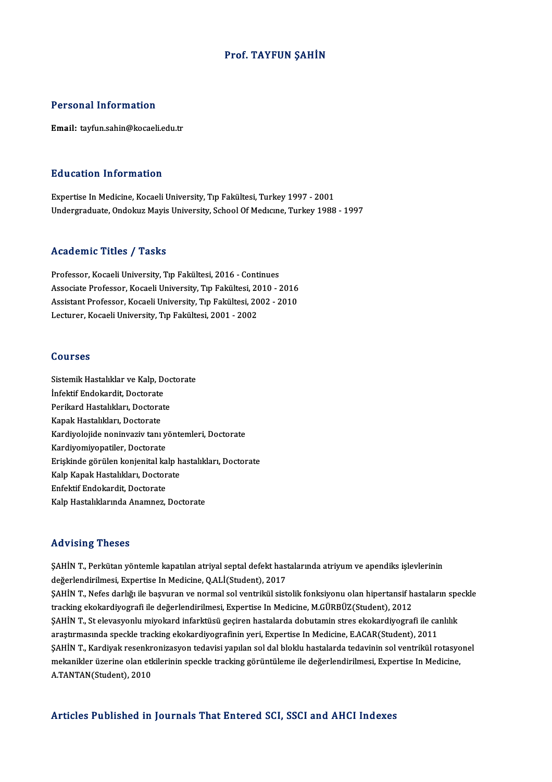### Prof. TAYFUN ŞAHİN

### Personal Information

Email: tayfun.sahin@kocaeli.edu.tr

### Education Information

Expertise In Medicine, Kocaeli University, Tıp Fakültesi, Turkey 1997 - 2001 Undergraduate, Ondokuz Mayis University, School Of Medicine, Turkey 1988 - 1997

### Academic Titles / Tasks

Professor, Kocaeli University, Tıp Fakültesi, 2016 - Continues -<br>Professor, Kocaeli University, Tıp Fakültesi, 2016 - Continues<br>Associate Professor, Kocaeli University, Tıp Fakültesi, 2010 - 2016<br>Assistant Professor, Kosaeli University, Tıp Fakültesi, 2002, 2010 Professor, Kocaeli University, Tıp Fakültesi, 2016 - Continues<br>Associate Professor, Kocaeli University, Tıp Fakültesi, 2010 - 2016<br>Assistant Professor, Kocaeli University, Tıp Fakültesi, 2002 - 2010<br>Lestuner, Kosaeli Unive Associate Professor, Kocaeli University, Tıp Fakültesi, 20<br>Assistant Professor, Kocaeli University, Tıp Fakültesi, 20<br>Lecturer, Kocaeli University, Tıp Fakültesi, 2001 - 2002 Lecturer, Kocaeli University, Tıp Fakültesi, 2001 - 2002<br>Courses

**Courses<br>Sistemik Hastalıklar ve Kalp, Doctorate<br>İnfoktif Endekardit, Doctorate** Sourses<br>Sistemik Hastalıklar ve Kalp, De<br>İnfektif Endokardit, Doctorate<br>Perikard Hastalıkları, Doctorat Sistemik Hastalıklar ve Kalp, Doc<br>İnfektif Endokardit, Doctorate<br>Perikard Hastalıkları, Doctorate<br>Kanak Hastalıkları, Doctorate İnfektif Endokardit, Doctorate<br>Perikard Hastalıkları, Doctora<br>Kapak Hastalıkları, Doctorate<br>Kardivalejide noninyariy tanı Perikard Hastalıkları, Doctorate<br>Kapak Hastalıkları, Doctorate<br>Kardiyolojide noninvaziv tanı yöntemleri, Doctorate<br>Kardiyomiyopatiler, Doctorate Kapak Hastalıkları, Doctorate<br>Kardiyolojide noninvaziv tanı y<br>Kardiyomiyopatiler, Doctorate<br>Eriskinde görülen konienitel ka Kardiyolojide noninvaziv tanı yöntemleri, Doctorate<br>Kardiyomiyopatiler, Doctorate<br>Erişkinde görülen konjenital kalp hastalıkları, Doctorate<br>Kalp Kanak Hastalıkları, Dostorate Kardiyomiyopatiler, Doctorate<br>Erişkinde görülen konjenital kalp h<br>Kalp Kapak Hastalıkları, Doctorate<br>Enfeltif Endelmedit, Doctorate Erişkinde görülen konjenital ka<br>Kalp Kapak Hastalıkları, Doctor<br>Enfektif Endokardit, Doctorate<br>Kalp Hastalıklarında Anamnaz Kalp Kapak Hastalıkları, Doctorate<br>Enfektif Endokardit, Doctorate<br>Kalp Hastalıklarında Anamnez, Doctorate

### Advising Theses

Advising Theses<br>ŞAHİN T., Perkütan yöntemle kapatılan atriyal septal defekt hastalarında atriyum ve apendiks işlevlerinin<br>değarlandirilmesi, Expertise In Medisine, Q ALİ(Student), 2017 raa viering "ricecee"<br>ŞAHİN T., Perkütan yöntemle kapatılan atriyal septal defekt hast<br>değerlendirilmesi, Expertise In Medicine, Q.ALİ(Student), 2017<br>SAHİN T. Nefes darkğı ile başıyıran ve normal sel ventrikil sist ŞAHİN T., Perkütan yöntemle kapatılan atriyal septal defekt hastalarında atriyum ve apendiks işlevlerinin<br>değerlendirilmesi, Expertise In Medicine, Q.ALİ(Student), 2017<br>ŞAHİN T., Nefes darlığı ile başvuran ve normal sol ve değerlendirilmesi, Expertise In Medicine, Q.ALİ(Student), 2017<br>ŞAHİN T., Nefes darlığı ile başvuran ve normal sol ventrikül sistolik fonksiyonu olan hipertansif ha<br>tracking ekokardiyografi ile değerlendirilmesi, Expertise ŞAHİN T., Nefes darlığı ile başvuran ve normal sol ventrikül sistolik fonksiyonu olan hipertansif hastaların spe<br>tracking ekokardiyografi ile değerlendirilmesi, Expertise In Medicine, M.GÜRBÜZ(Student), 2012<br>ŞAHİN T., St e tracking ekokardiyografi ile değerlendirilmesi, Expertise In Medicine, M.GÜRBÜZ(Student), 2012<br>ŞAHİN T., St elevasyonlu miyokard infarktüsü geçiren hastalarda dobutamin stres ekokardiyografi ile ca<br>araştırmasında speckle t ŞAHİN T., St elevasyonlu miyokard infarktüsü geçiren hastalarda dobutamin stres ekokardiyografi ile canlılık<br>araştırmasında speckle tracking ekokardiyografinin yeri, Expertise In Medicine, E.ACAR(Student), 2011<br>ŞAHİN T., K araştırmasında speckle tracking ekokardiyografinin yeri, Expertise In Medicine, E.ACAR(Student), 2011<br>ŞAHİN T., Kardiyak resenkronizasyon tedavisi yapılan sol dal bloklu hastalarda tedavinin sol ventrikül rotasyo<br>mekanikle ŞAHİN T., Kardiyak resenkr<br>mekanikler üzerine olan et<del>l</del><br>A.TANTAN(Student), 2010 Articles Published in Journals That Entered SCI, SSCI and AHCI Indexes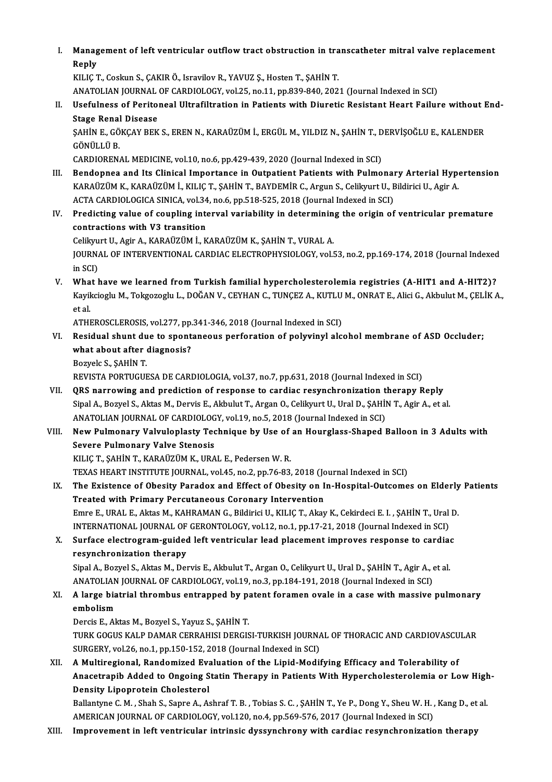I. Management of left ventricular outflow tract obstruction in transcatheter mitral valve replacement<br>Reply Manag<br>Reply<br>KU IC 7

Reply<br>KILIÇ T., Coskun S., ÇAKIR Ö., Isravilov R., YAVUZ S., Hosten T., SAHİN T. Reply<br>KILIÇ T., Coskun S., ÇAKIR Ö., Isravilov R., YAVUZ Ş., Hosten T., ŞAHİN T.<br>ANATOLIAN JOURNAL OF CARDIOLOGY, vol.25, no.11, pp.839-840, 2021 (Journal Indexed in SCI)<br>Hasfulness of Peritoneal Ultrefiltration in Petient

II. Usefulness of Peritoneal Ultrafiltration in Patients with Diuretic Resistant Heart Failure without End-<br>Stage Renal Disease ANATOLIAN JOURNAL<br>Usefulness of Perito<br>Stage Renal Disease<br>SAHINE CÖVCAV PEV Usefulness of Peritoneal Ultrafiltration in Patients with Diuretic Resistant Heart Failure without I<br>Stage Renal Disease<br>ŞAHİN E., GÖKÇAY BEK S., EREN N., KARAÜZÜM İ., ERGÜL M., YILDIZ N., ŞAHİN T., DERVİŞOĞLU E., KALENDER

GÖNÜLLÜ B.<br>CARDIORENAL MEDICINE, vol.10, no.6, pp.429-439, 2020 (Journal Indexed in SCI) ŞAHİN E., GÖKÇAY BEK S., EREN N., KARAÜZÜM İ., ERGÜL M., YILDIZ N., ŞAHİN T., D<br>GÖNÜLLÜ B.<br>CARDIORENAL MEDICINE, vol.10, no.6, pp.429-439, 2020 (Journal Indexed in SCI)<br>Bendennes and Its Clinisal Impertance in Outpatient B

- GÖNÜLLÜ B.<br>CARDIORENAL MEDICINE, vol.10, no.6, pp.429-439, 2020 (Journal Indexed in SCI)<br>III. Bendopnea and Its Clinical Importance in Outpatient Patients with Pulmonary Arterial Hypertension<br>KARAÜZÜM K. KARAÜZÜM İ. KU IC CARDIORENAL MEDICINE, vol.10, no.6, pp.429-439, 2020 (Journal Indexed in SCI)<br>Bendopnea and Its Clinical Importance in Outpatient Patients with Pulmonary Arterial Hype<br>KARAÜZÜM K., KARAÜZÜM İ., KILIÇ T., ŞAHİN T., BAYDEMİR Bendopnea and Its Clinical Importance in Outpatient Patients with Pulmonal<br>KARAÜZÜM K., KARAÜZÜM İ., KILIÇ T., ŞAHİN T., BAYDEMİR C., Argun S., Celikyurt U., E<br>ACTA CARDIOLOGICA SINICA, vol.34, no.6, pp.518-525, 2018 (Jour KARAÜZÜM K., KARAÜZÜM İ., KILIÇ T., ŞAHİN T., BAYDEMİR C., Argun S., Celikyurt U., Bildirici U., Agir A.<br>ACTA CARDIOLOGICA SINICA, vol.34, no.6, pp.518-525, 2018 (Journal Indexed in SCI)<br>IV. Predicting value of coupling in
- ACTA CARDIOLOGICA SINICA, vol.34<br>Predicting value of coupling internations with V3 transition<br>Colibrust II, Agis A, VARAUZUM L.V contractions with V3 transition<br>Celikyurt U., Agir A., KARAÜZÜM İ., KARAÜZÜM K., ŞAHİN T., VURAL A.

contractions with V3 transition<br>Celikyurt U., Agir A., KARAÜZÜM İ., KARAÜZÜM K., ŞAHİN T., VURAL A.<br>JOURNAL OF INTERVENTIONAL CARDIAC ELECTROPHYSIOLOGY, vol.53, no.2, pp.169-174, 2018 (Journal Indexed<br>in SCD Celikyu<br>JOURNA<br>in SCI)<br>What l JOURNAL OF INTERVENTIONAL CARDIAC ELECTROPHYSIOLOGY, vol.53, no.2, pp.169-174, 2018 (Journal Indexed<br>in SCI)<br>V. What have we learned from Turkish familial hypercholesterolemia registries (A-HIT1 and A-HIT2)?<br>V. What have w

in SCI)<br>What have we learned from Turkish familial hypercholesterolemia registries (A-HIT1 and A-HIT2)?<br>Kayikcioglu M., Tokgozoglu L., DOĞAN V., CEYHAN C., TUNÇEZ A., KUTLU M., ONRAT E., Alici G., Akbulut M., ÇELİK A., **Wha<br>Kayil<br>et al.** Kayikcioglu M., Tokgozoglu L., DOĞAN V., CEYHAN C., TUNÇEZ A., KUTLU<br>et al.<br>ATHEROSCLEROSIS, vol.277, pp.341-346, 2018 (Journal Indexed in SCI)<br>Bosidual shunt dua to spontaneous porforation of polyvinyl als

et al.<br>ATHEROSCLEROSIS, vol.277, pp.341-346, 2018 (Journal Indexed in SCI)<br>VI. Residual shunt due to spontaneous perforation of polyvinyl alcohol membrane of ASD Occluder; ATHEROSCLEROSIS, vol.277, pp.<br>Residual shunt due to spont<br>what about after diagnosis?<br>Pozyels S. SAHIN T Residual shunt du<br>what about after<br>Bozyelc S., ŞAHİN T.<br>PEVISTA POPTICUE what about after diagnosis?<br>Bozyelc S., ŞAHİN T.<br>REVISTA PORTUGUESA DE CARDIOLOGIA, vol.37, no.7, pp.631, 2018 (Journal Indexed in SCI)<br>OBS narrowing and prodistion of response to cardiae resynchronization thereou B

Bozyelc S., ŞAHİN T.<br>REVISTA PORTUGUESA DE CARDIOLOGIA, vol.37, no.7, pp.631, 2018 (Journal Indexed in SCI)<br>VII. QRS narrowing and prediction of response to cardiac resynchronization therapy Reply<br>Sinal A. Borvel S. Altas REVISTA PORTUGUESA DE CARDIOLOGIA, vol.37, no.7, pp.631, 2018 (Journal Indexed in SCI)<br>QRS narrowing and prediction of response to cardiac resynchronization therapy Reply<br>Sipal A., Bozyel S., Aktas M., Dervis E., Akbulut T QRS narrowing and prediction of response to cardiac resynchronization therapy Reply<br>Sipal A., Bozyel S., Aktas M., Dervis E., Akbulut T., Argan O., Celikyurt U., Ural D., ŞAHİN T., Agir A., et al.<br>ANATOLIAN JOURNAL OF CARD Sipal A., Bozyel S., Aktas M., Dervis E., Akbulut T., Argan O., Celikyurt U., Ural D., ŞAHİN T., Agir A., et al.<br>ANATOLIAN JOURNAL OF CARDIOLOGY, vol.19, no.5, 2018 (Journal Indexed in SCI)<br>VIII. New Pulmonary Valvuloplast

## ANATOLIAN JOURNAL OF CARDIOLOG<br>New Pulmonary Valvuloplasty Tec<br>Severe Pulmonary Valve Stenosis<br>VILIC T. SAHIN T. KARAÜZÜM K. URA New Pulmonary Valvuloplasty Technique by Use of<br>Severe Pulmonary Valve Stenosis<br>KILIÇ T., ŞAHİN T., KARAÜZÜM K., URAL E., Pedersen W. R.<br>TEVAS UEAPT INSTITUTE IQUPNAL, vel 45, p.e.2, pp.76,92 Severe Pulmonary Valve Stenosis<br>KILIÇ T., ŞAHİN T., KARAÜZÜM K., URAL E., Pedersen W. R.<br>TEXAS HEART INSTITUTE JOURNAL, vol.45, no.2, pp.76-83, 2018 (Journal Indexed in SCI)<br>The Evistence of Obesity Paradov and Effect of O

- KILIÇ T., ŞAHİN T., KARAÜZÜM K., URAL E., Pedersen W. R.<br>TEXAS HEART INSTITUTE JOURNAL, vol.45, no.2, pp.76-83, 2018 (Journal Indexed in SCI)<br>IX. The Existence of Obesity Paradox and Effect of Obesity on In-Hospital-Ou TEXAS HEART INSTITUTE JOURNAL, vol.45, no.2, pp.76-83, 2018 (Journal of Obesity Paradox and Effect of Obesity on I<br>Treated with Primary Percutaneous Coronary Intervention<br>France LURALE, Altre M. KAHRAMAN C. Bildiniai U. KU The Existence of Obesity Paradox and Effect of Obesity on In-Hospital-Outcomes on Elderly<br>Treated with Primary Percutaneous Coronary Intervention<br>Emre E., URAL E., Aktas M., KAHRAMAN G., Bildirici U., KILIÇ T., Akay K., Ce Treated with Primary Percutaneous Coronary Intervention<br>Emre E., URAL E., Aktas M., KAHRAMAN G., Bildirici U., KILIÇ T., Akay K., Cekirdeci E. I. , ŞAHİN T., Ural<br>INTERNATIONAL JOURNAL OF GERONTOLOGY, vol.12, no.1, pp.17-2
- Emre E., URAL E., Aktas M., KAHRAMAN G., Bildirici U., KILIÇ T., Akay K., Cekirdeci E. I. , ŞAHİN T., Ural D<br>INTERNATIONAL JOURNAL OF GERONTOLOGY, vol.12, no.1, pp.17-21, 2018 (Journal Indexed in SCI)<br>X. Surface electrogra INTERNATIONAL JOURNAL OF GERONTOLOGY, vol.12, no.1, pp.17-21, 2018 (Journal Indexed in SCI)<br>Surface electrogram-guided left ventricular lead placement improves response to cardia<br>resynchronization therapy X. Surface electrogram-guided left ventricular lead placement improves response to cardiac<br>resynchronization therapy<br>Sipal A., Bozyel S., Aktas M., Dervis E., Akbulut T., Argan O., Celikyurt U., Ural D., ŞAHİN T., Agir A.,

Sipal A., Bozyel S., Aktas M., Dervis E., Akbulut T., Argan O., Celikyurt U., Ural D., SAHİN T., Agir A., et al. Sipal A., Bozyel S., Aktas M., Dervis E., Akbulut T., Argan O., Celikyurt U., Ural D., ŞAHİN T., Agir A., et al.<br>ANATOLIAN JOURNAL OF CARDIOLOGY, vol.19, no.3, pp.184-191, 2018 (Journal Indexed in SCI)<br>XI. A large biatrial

# ANATOLIAN<br>A large bia<br>embolism<br>Dergis E Al A large biatrial thrombus entrapped by p:<br>embolism<br>Dercis E., Aktas M., Bozyel S., Yayuz S., ŞAHİN T.<br>TURK COCUS KALR DAMAR CERRAHISI DERCIS

embolism<br>Dercis E., Aktas M., Bozyel S., Yayuz S., ŞAHİN T.<br>TURK GOGUS KALP DAMAR CERRAHISI DERGISI-TURKISH JOURNAL OF THORACIC AND CARDIOVASCULAR<br>SURCERY YRL?É P.0.1, P.D.152, 2018 (Journal Indoved in SC). Dercis E., Aktas M., Bozyel S., Yayuz S., ŞAHİN T.<br>TURK GOGUS KALP DAMAR CERRAHISI DERGISI-TURKISH JOURNA<br>SURGERY, vol.26, no.1, pp.150-152, 2018 (Journal Indexed in SCI)<br>A Multipogional, Bandomirod Evaluation of the Linid TURK GOGUS KALP DAMAR CERRAHISI DERGISI-TURKISH JOURNAL OF THORACIC AND CARDIOVASCU<br>SURGERY, vol.26, no.1, pp.150-152, 2018 (Journal Indexed in SCI)<br>XII. A Multiregional, Randomized Evaluation of the Lipid-Modifying Effica

SURGERY, vol.26, no.1, pp.150-152, 2018 (Journal Indexed in SCI)<br>A Multiregional, Randomized Evaluation of the Lipid-Modifying Efficacy and Tolerability of<br>Anacetrapib Added to Ongoing Statin Therapy in Patients With Hyper A Multiregional, Randomized Eva<br>Anacetrapib Added to Ongoing S<br>Density Lipoprotein Cholesterol<br>Ballanture C.M., Shah S. Sanna A. Ad Anacetrapib Added to Ongoing Statin Therapy in Patients With Hypercholesterolemia or Low High<br>Density Lipoprotein Cholesterol<br>Ballantyne C. M. , Shah S., Sapre A., Ashraf T. B. , Tobias S. C. , ŞAHİN T., Ye P., Dong Y., Sh

Density Lipoprotein Cholesterol<br>Ballantyne C. M. , Shah S., Sapre A., Ashraf T. B. , Tobias S. C. , ŞAHİN T., Ye P., Dong Y., Sheu W. H. , Kang D., et al.<br>AMERICAN JOURNAL OF CARDIOLOGY, vol.120, no.4, pp.569-576, 2017 (Jo

XIII. Improvement in left ventricular intrinsic dyssynchrony with cardiac resynchronization therapy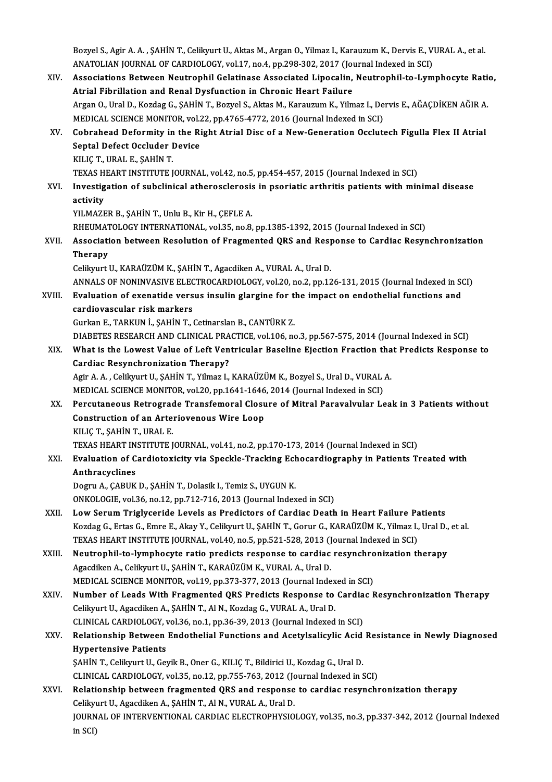Bozyel S., Agir A. A. , ŞAHİN T., Celikyurt U., Aktas M., Argan O., Yilmaz I., Karauzum K., Dervis E., VURAL A., et al.<br>ANATOLIAN IQUPNAL OE GARDIQLOCX, vel 17, no 4, np 208, 202, 2017 (Journal Indoved in SCI) Bozyel S., Agir A. A. , ŞAHİN T., Celikyurt U., Aktas M., Argan O., Yilmaz I., Karauzum K., Dervis E., V.<br>ANATOLIAN JOURNAL OF CARDIOLOGY, vol.17, no.4, pp.298-302, 2017 (Journal Indexed in SCI)<br>Assosiatione Between Noutro Bozyel S., Agir A. A. , ŞAHİN T., Celikyurt U., Aktas M., Argan O., Yilmaz I., Karauzum K., Dervis E., VURAL A., et al.<br>ANATOLIAN JOURNAL OF CARDIOLOGY, vol.17, no.4, pp.298-302, 2017 (Journal Indexed in SCI)<br>XIV. Associat

ANATOLIAN JOURNAL OF CARDIOLOGY, vol.17, no.4, pp.298-302, 2017 (Journal Indexed in SCI)<br>Associations Between Neutrophil Gelatinase Associated Lipocalin, Neutrophil-to-Lym<br>Atrial Fibrillation and Renal Dysfunction in Chron Associations Between Neutrophil Gelatinase Associated Lipocalin, Neutrophil-to-Lymphocyte Ratio,<br>Atrial Fibrillation and Renal Dysfunction in Chronic Heart Failure<br>Argan O., Ural D., Kozdag G., ŞAHİN T., Bozyel S., Aktas M Argan O., Ural D., Kozdag G., ŞAHİN T., Bozyel S., Aktas M., Karauzum K., Yilmaz I., Dervis E., AĞAÇDİKEN AĞIR A. Argan O., Ural D., Kozdag G., ŞAHİN T., Bozyel S., Aktas M., Karauzum K., Yilmaz I., Dervis E., AĞAÇDİKEN AĞIR A<br>MEDICAL SCIENCE MONITOR, vol.22, pp.4765-4772, 2016 (Journal Indexed in SCI)<br>XV. Cobrahead Deformity in the R MEDICAL SCIENCE MONITOR, vol.2<br>Cobrahead Deformity in the Ri<br>Septal Defect Occluder Device<br>KILIC T. URAL E. SAHIN T Cobrahead Deformity in<br>Septal Defect Occluder I<br>KILIÇ T., URAL E., ŞAHİN T.<br>TEVAS UEAPT INSTITUTE I Septal Defect Occluder Device<br>KILIÇ T., URAL E., ŞAHİN T.<br>TEXAS HEART INSTITUTE JOURNAL, vol.42, no.5, pp.454-457, 2015 (Journal Indexed in SCI)<br>Investigation of subelinical athorogelorosis in pooriatic arthritic patients KILIÇ T., URAL E., ŞAHİN T.<br>TEXAS HEART INSTITUTE JOURNAL, vol.42, no.5, pp.454-457, 2015 (Journal Indexed in SCI)<br>XVI. Investigation of subclinical atherosclerosis in psoriatic arthritis patients with minimal disease<br> TEXAS H<br>Investig<br>activity<br><sup>VII MAZE</sup> Investigation of subclinical atherosclerosis<br>activity<br>YILMAZER B., ŞAHİN T., Unlu B., Kir H., ÇEFLE A.<br>BHEUMATOLOCY INTERNATIONAL, vol 25, no 8. a<mark>ctivity</mark><br>YILMAZER B., ŞAHİN T., Unlu B., Kir H., ÇEFLE A.<br>RHEUMATOLOGY INTERNATIONAL, vol.35, no.8, pp.1385-1392, 2015 (Journal Indexed in SCI)<br>Assosiation between Besolution of Exagmented OBS and Besponse to Cardias Bes YILMAZER B., ŞAHİN T., Unlu B., Kir H., ÇEFLE A.<br>RHEUMATOLOGY INTERNATIONAL, vol.35, no.8, pp.1385-1392, 2015 (Journal Indexed in SCI)<br>XVII. Association between Resolution of Fragmented QRS and Response to Cardiac Resy RHEUMAT<br>Associati<br>Therapy<br>Colilmut l Association between Resolution of Fragmented QRS and Resp<br>Therapy<br>Celikyurt U., KARAÜZÜM K., ŞAHİN T., Agacdiken A., VURAL A., Ural D.<br>ANNALS OF NONINIASIVE ELECTROCARDIQLOCY YR. 20 no 2 nn 13 Therapy<br>Celikyurt U., KARAÜZÜM K., ŞAHİN T., Agacdiken A., VURAL A., Ural D.<br>ANNALS OF NONINVASIVE ELECTROCARDIOLOGY, vol.20, no.2, pp.126-131, 2015 (Journal Indexed in SCI)<br>Evaluation of avanatide versus insulin slangine Celikyurt U., KARAÜZÜM K., ŞAHİN T., Agacdiken A., VURAL A., Ural D.<br>ANNALS OF NONINVASIVE ELECTROCARDIOLOGY, vol.20, no.2, pp.126-131, 2015 (Journal Indexed in St<br>XVIII. Evaluation of exenatide versus insulin glargine for ANNALS OF NONINVASIVE ELEC<br>Evaluation of exenatide vers<br>cardiovascular risk markers<br>Curker E. TARKUN i. SAHN T. ( Gurkan E., TARKUN İ., ŞAHİN T., Cetinarslan B., CANTÜRK Z. DIABETES RESEARCH AND CLINICAL PRACTICE, vol.106, no.3, pp.567-575, 2014 (Journal Indexed in SCI) Gurkan E., TARKUN İ., ŞAHİN T., Cetinarslan B., CANTÜRK Z.<br>DIABETES RESEARCH AND CLINICAL PRACTICE, vol.106, no.3, pp.567-575, 2014 (Journal Indexed in SCI)<br>XIX. What is the Lowest Value of Left Ventricular Baseline Ej Cardiac Resynchronization Therapy? What is the Lowest Value of Left Ventricular Baseline Ejection Fraction tha<br>Cardiac Resynchronization Therapy?<br>Agir A. A. , Celikyurt U., ŞAHİN T., Yilmaz I., KARAÜZÜM K., Bozyel S., Ural D., VURAL A.<br>MEDICAL SCIENCE MONIT Agir A. A., Celikyurt U., ȘAHİN T., Yilmaz I., KARAÜZÜM K., Bozyel S., Ural D., VURAL A. XX. Percutaneous Retrograde Transfemoral Closure of Mitral Paravalvular Leak in 3 Patients without<br>Construction of an Arteriovenous Wire Loop MEDICAL SCIENCE MONITOR, vol.20, pp.1641-1646, 2014 (Journal Indexed in SCI) KILIÇT.,ŞAHİNT.,URAL E. Construction of an Arteriovenous Wire Loop<br>KILIÇ T., ŞAHİN T., URAL E.<br>TEXAS HEART INSTITUTE JOURNAL, vol.41, no.2, pp.170-173, 2014 (Journal Indexed in SCI)<br>Fyalustion of Candistevisity via Speekle Trasking Eshesandiograp XXI. Evaluation of Cardiotoxicity via Speckle-Tracking Echocardiography in Patients Treated with **TEXAS HEART IN<br>Evaluation of C<br>Anthracyclines**<br>Dogwy A, CAPUK Dogru A., ÇABUK D., ŞAHİN T., Dolasik I., Temiz S., UYGUN K. ONKOLOGIE, vol.36, no.12, pp.712-716, 2013 (Journal Indexed in SCI) Dogru A., ÇABUK D., ŞAHİN T., Dolasik I., Temiz S., UYGUN K.<br>ONKOLOGIE, vol.36, no.12, pp.712-716, 2013 (Journal Indexed in SCI)<br>XXII. Low Serum Triglyceride Levels as Predictors of Cardiac Death in Heart Failure Patients ONKOLOGIE, vol.36, no.12, pp.712-716, 2013 (Journal Indexed in SCI)<br>Low Serum Triglyceride Levels as Predictors of Cardiac Death in Heart Failure Patients<br>Kozdag G., Ertas G., Emre E., Akay Y., Celikyurt U., ŞAHİN T., Goru Low Serum Triglyceride Levels as Predictors of Cardiac Death in Heart Failure Pa<br>Kozdag G., Ertas G., Emre E., Akay Y., Celikyurt U., ŞAHİN T., Gorur G., KARAÜZÜM K., Yilmaz I.,<br>TEXAS HEART INSTITUTE JOURNAL, vol.40, no.5, Kozdag G., Ertas G., Emre E., Akay Y., Celikyurt U., ŞAHİN T., Gorur G., KARAÜZÜM K., Yilmaz I., Ural D.,<br>TEXAS HEART INSTITUTE JOURNAL, vol.40, no.5, pp.521-528, 2013 (Journal Indexed in SCI)<br>XXIII. Neutrophil-to-lymphocy TEXAS HEART INSTITUTE JOURNAL, vol.40, no.5, pp.521-528, 2013 (Journal Indexed in SCI)<br>Neutrophil-to-lymphocyte ratio predicts response to cardiac resynchronization tl<br>Agacdiken A., Celikyurt U., ŞAHİN T., KARAÜZÜM K., VUR Neutrophil-to-lymphocyte ratio predicts response to cardiac resynchro<br>Agacdiken A., Celikyurt U., ŞAHİN T., KARAÜZÜM K., VURAL A., Ural D.<br>MEDICAL SCIENCE MONITOR, vol.19, pp.373-377, 2013 (Journal Indexed in SCI)<br>Numbor o Agacdiken A., Celikyurt U., ŞAHİN T., KARAÜZÜM K., VURAL A., Ural D.<br>MEDICAL SCIENCE MONITOR, vol.19, pp.373-377, 2013 (Journal Indexed in SCI)<br>XXIV. Number of Leads With Fragmented QRS Predicts Response to Cardiac Resynch MEDICAL SCIENCE MONITOR, vol.19, pp.373-377, 2013 (Journal Index<br>**Number of Leads With Fragmented QRS Predicts Response to**<br>Celikyurt U., Agacdiken A., ŞAHİN T., Al N., Kozdag G., VURAL A., Ural D.<br>CUNICAL CARDIQLOCX val.2 Number of Leads With Fragmented QRS Predicts Response to Cardia<br>Celikyurt U., Agacdiken A., ŞAHİN T., Al N., Kozdag G., VURAL A., Ural D.<br>CLINICAL CARDIOLOGY, vol.36, no.1, pp.36-39, 2013 (Journal Indexed in SCI)<br>Pelations Celikyurt U., Agacdiken A., ŞAHİN T., Al N., Kozdag G., VURAL A., Ural D.<br>CLINICAL CARDIOLOGY, vol.36, no.1, pp.36-39, 2013 (Journal Indexed in SCI)<br>XXV. Relationship Between Endothelial Functions and Acetylsalicylic A CLINICAL CARDIOLOGY, vol.36, no.1, pp.36-39, 2013 (Journal Indexed in SCI)<br>Relationship Between Endothelial Functions and Acetylsalicylic Acid<br>Hypertensive Patients<br>SAHIN T., Celikyurt U., Geyik B., Oner G., KILIC T., Bild Relationship Between Endothelial Functions and Acetylsalicylic Acid<br>Hypertensive Patients<br>ŞAHİN T., Celikyurt U., Geyik B., Oner G., KILIÇ T., Bildirici U., Kozdag G., Ural D.<br>CUNICAL GARDIQLOCY, vel 35, De 13, PD 755, 762 CLINICAL CARDIOLOGY, vol.35, no.12, pp.755-763, 2012 (Journal Indexed in SCI) SAHİN T., Celikyurt U., Geyik B., Oner G., KILIÇ T., Bildirici U., Kozdag G., Ural D.<br>CLINICAL CARDIOLOGY, vol.35, no.12, pp.755-763, 2012 (Journal Indexed in SCI)<br>XXVI. Relationship between fragmented QRS and response to CLINICAL CARDIOLOGY, vol.35, no.12, pp.755-763, 2012 (Jone)<br>Relationship between fragmented QRS and response<br>Celikyurt U., Agacdiken A., ŞAHİN T., Al N., VURAL A., Ural D.<br>JOURNAL OF INTERVENTIONAL CARDIAC ELECTROPHYSIO Relationship between fragmented QRS and response to cardiac resynchronization therapy<br>Celikyurt U., Agacdiken A., ŞAHİN T., Al N., VURAL A., Ural D.<br>JOURNAL OF INTERVENTIONAL CARDIAC ELECTROPHYSIOLOGY, vol.35, no.3, pp.337 Celikyı<br>JOURN<br>in SCI)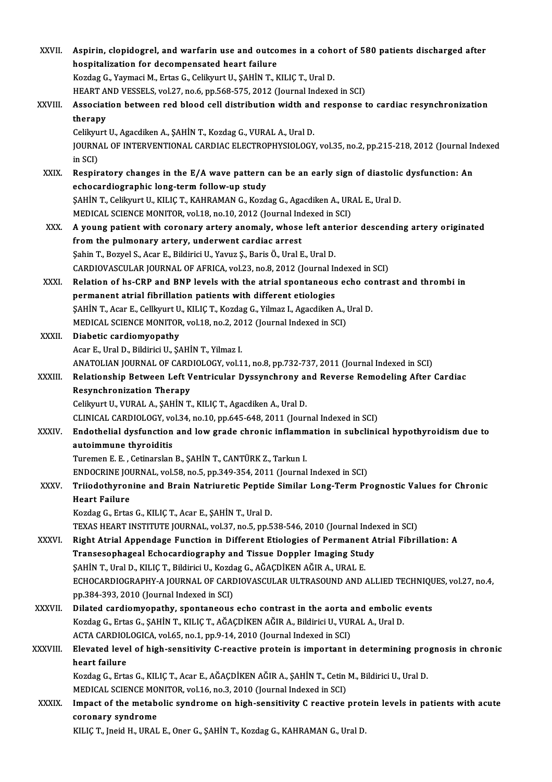| <b>XXVII</b>  | Aspirin, clopidogrel, and warfarin use and outcomes in a cohort of 580 patients discharged after                       |
|---------------|------------------------------------------------------------------------------------------------------------------------|
|               | hospitalization for decompensated heart failure                                                                        |
|               | Kozdag G., Yaymaci M., Ertas G., Celikyurt U., ŞAHİN T., KILIÇ T., Ural D.                                             |
|               | HEART AND VESSELS, vol.27, no.6, pp.568-575, 2012 (Journal Indexed in SCI)                                             |
| XXVIII.       | Association between red blood cell distribution width and response to cardiac resynchronization                        |
|               | therapy                                                                                                                |
|               | Celikyurt U., Agacdiken A., ŞAHİN T., Kozdag G., VURAL A., Ural D.                                                     |
|               | JOURNAL OF INTERVENTIONAL CARDIAC ELECTROPHYSIOLOGY, vol.35, no.2, pp.215-218, 2012 (Journal Indexed<br>in SCI)        |
| XXIX.         | Respiratory changes in the E/A wave pattern can be an early sign of diastolic dysfunction: An                          |
|               | echocardiographic long-term follow-up study                                                                            |
|               | ŞAHİN T., Celikyurt U., KILIÇ T., KAHRAMAN G., Kozdag G., Agacdiken A., URAL E., Ural D.                               |
|               | MEDICAL SCIENCE MONITOR, vol.18, no.10, 2012 (Journal Indexed in SCI)                                                  |
| XXX.          | A young patient with coronary artery anomaly, whose left anterior descending artery originated                         |
|               | from the pulmonary artery, underwent cardiac arrest                                                                    |
|               | Şahin T., Bozyel S., Acar E., Bildirici U., Yavuz Ş., Baris Ö., Ural E., Ural D.                                       |
|               | CARDIOVASCULAR JOURNAL OF AFRICA, vol.23, no.8, 2012 (Journal Indexed in SCI)                                          |
| XXXI.         | Relation of hs-CRP and BNP levels with the atrial spontaneous echo contrast and thrombi in                             |
|               | permanent atrial fibrillation patients with different etiologies                                                       |
|               | ŞAHİN T., Acar E., Cellkyurt U., KILIÇ T., Kozdag G., Yilmaz I., Agacdiken A., Ural D.                                 |
|               | MEDICAL SCIENCE MONITOR, vol.18, no.2, 2012 (Journal Indexed in SCI)                                                   |
| XXXII.        | Diabetic cardiomyopathy                                                                                                |
|               | Acar E., Ural D., Bildirici U., ŞAHİN T., Yilmaz I.                                                                    |
|               | ANATOLIAN JOURNAL OF CARDIOLOGY, vol.11, no.8, pp.732-737, 2011 (Journal Indexed in SCI)                               |
| <b>XXXIII</b> | Relationship Between Left Ventricular Dyssynchrony and Reverse Remodeling After Cardiac                                |
|               | <b>Resynchronization Therapy</b>                                                                                       |
|               | Celikyurt U., VURAL A., ŞAHİN T., KILIÇ T., Agacdiken A., Ural D.                                                      |
|               | CLINICAL CARDIOLOGY, vol.34, no.10, pp.645-648, 2011 (Journal Indexed in SCI)                                          |
| <b>XXXIV</b>  | Endothelial dysfunction and low grade chronic inflammation in subclinical hypothyroidism due to                        |
|               | autoimmune thyroiditis                                                                                                 |
|               | Turemen E. E., Cetinarslan B., ŞAHİN T., CANTÜRK Z., Tarkun I.                                                         |
|               | ENDOCRINE JOURNAL, vol.58, no.5, pp.349-354, 2011 (Journal Indexed in SCI)                                             |
| <b>XXXV</b>   | Triiodothyronine and Brain Natriuretic Peptide Similar Long-Term Prognostic Values for Chronic<br><b>Heart Failure</b> |
|               | Kozdag G., Ertas G., KILIÇ T., Acar E., ŞAHİN T., Ural D.                                                              |
|               | TEXAS HEART INSTITUTE JOURNAL, vol.37, no.5, pp.538-546, 2010 (Journal Indexed in SCI)                                 |
| XXXVI.        | Right Atrial Appendage Function in Different Etiologies of Permanent Atrial Fibrillation: A                            |
|               | Transesophageal Echocardiography and Tissue Doppler Imaging Study                                                      |
|               | ŞAHİN T., Ural D., KILIÇ T., Bildirici U., Kozdag G., AĞAÇDİKEN AĞIR A., URAL E.                                       |
|               | ECHOCARDIOGRAPHY-A JOURNAL OF CARDIOVASCULAR ULTRASOUND AND ALLIED TECHNIQUES, vol.27, no.4,                           |
|               | pp.384-393, 2010 (Journal Indexed in SCI)                                                                              |
| <b>XXXVII</b> | Dilated cardiomyopathy, spontaneous echo contrast in the aorta and embolic events                                      |
|               | Kozdag G., Ertas G., ŞAHİN T., KILIÇ T., AĞAÇDİKEN AĞIR A., Bildirici U., VURAL A., Ural D.                            |
|               | ACTA CARDIOLOGICA, vol.65, no.1, pp.9-14, 2010 (Journal Indexed in SCI)                                                |
| XXXVIII.      | Elevated level of high-sensitivity C-reactive protein is important in determining prognosis in chronic                 |
|               | heart failure                                                                                                          |
|               | Kozdag G., Ertas G., KILIÇ T., Acar E., AĞAÇDİKEN AĞIR A., ŞAHİN T., Cetin M., Bildirici U., Ural D.                   |
|               | MEDICAL SCIENCE MONITOR, vol.16, no.3, 2010 (Journal Indexed in SCI)                                                   |
| XXXIX.        | Impact of the metabolic syndrome on high-sensitivity C reactive protein levels in patients with acute                  |
|               | coronary syndrome                                                                                                      |
|               | KILIÇ T., Jneid H., URAL E., Oner G., ŞAHİN T., Kozdag G., KAHRAMAN G., Ural D.                                        |
|               |                                                                                                                        |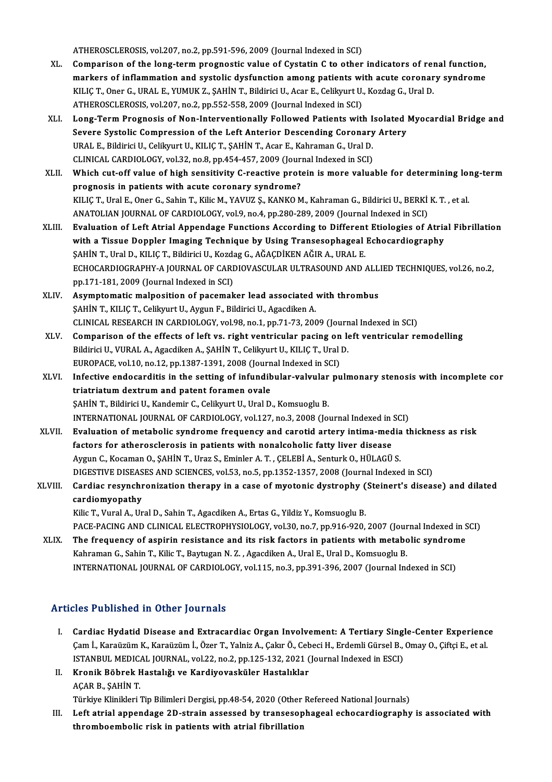ATHEROSCLEROSIS, vol.207, no.2, pp.591-596, 2009 (Journal Indexed in SCI)

- ATHEROSCLEROSIS, vol.207, no.2, pp.591-596, 2009 (Journal Indexed in SCI)<br>XL. Comparison of the long-term prognostic value of Cystatin C to other indicators of renal function,<br>markars of inflammation and systalis dusfuncti ATHEROSCLEROSIS, vol.207, no.2, pp.591-596, 2009 (Journal Indexed in SCI)<br>Comparison of the long-term prognostic value of Cystatin C to other indicators of renal function,<br>markers of inflammation and systolic dysfunction a Comparison of the long-term prognostic value of Cystatin C to other indicators of rei<br>markers of inflammation and systolic dysfunction among patients with acute coronar<br>KILIÇ T., Oner G., URAL E., YUMUK Z., ŞAHİN T., Bildi markers of inflammation and systolic dysfunction among patients wi<br>KILIÇ T., Oner G., URAL E., YUMUK Z., ŞAHİN T., Bildirici U., Acar E., Celikyurt U.<br>ATHEROSCLEROSIS, vol.207, no.2, pp.552-558, 2009 (Journal Indexed in SC KILIÇ T., Oner G., URAL E., YUMUK Z., ŞAHİN T., Bildirici U., Acar E., Celikyurt U., Kozdag G., Ural D.<br>ATHEROSCLEROSIS, vol.207, no.2, pp.552-558, 2009 (Journal Indexed in SCI)<br>XLI. Long-Term Prognosis of Non-Interven
- ATHEROSCLEROSIS, vol.207, no.2, pp.552-558, 2009 (Journal Indexed in SCI)<br>Long-Term Prognosis of Non-Interventionally Followed Patients with Isolated |<br>Severe Systolic Compression of the Left Anterior Descending Coronary A Severe Systolic Compression of the Left Anterior Descending Coronary Artery<br>URAL E., Bildirici U., Celikyurt U., KILIÇ T., ŞAHİN T., Acar E., Kahraman G., Ural D. Severe Systolic Compression of the Left Anterior Descending Coronary<br>URAL E., Bildirici U., Celikyurt U., KILIÇ T., ŞAHİN T., Acar E., Kahraman G., Ural D.<br>CLINICAL CARDIOLOGY, vol.32, no.8, pp.454-457, 2009 (Journal Index URAL E., Bildirici U., Celikyurt U., KILIÇ T., ŞAHİN T., Acar E., Kahraman G., Ural D.<br>CLINICAL CARDIOLOGY, vol.32, no.8, pp.454-457, 2009 (Journal Indexed in SCI)<br>XLII. Which cut-off value of high sensitivity C-reactive p
- CLINICAL CARDIOLOGY, vol.32, no.8, pp.454-457, 2009 (Journal)<br>Which cut-off value of high sensitivity C-reactive proto<br>prognosis in patients with acute coronary syndrome?<br>KU IC T. Ural E. Oper C. Sobin T. Kilia M. VAVUZ S. Which cut-off value of high sensitivity C-reactive protein is more valuable for determining loi<br>prognosis in patients with acute coronary syndrome?<br>KILIÇ T., Ural E., Oner G., Sahin T., Kilic M., YAVUZ Ş., KANKO M., Kahram prognosis in patients with acute coronary syndrome?<br>KILIÇ T., Ural E., Oner G., Sahin T., Kilic M., YAVUZ Ş., KANKO M., Kahraman G., Bildirici U., BERKİ K. T. , et al.<br>ANATOLIAN JOURNAL OF CARDIOLOGY, vol.9, no.4, pp.280-2 KILIÇ T., Ural E., Oner G., Sahin T., Kilic M., YAVUZ Ş., KANKO M., Kahraman G., Bildirici U., BERKİ K. T. , et al.<br>ANATOLIAN JOURNAL OF CARDIOLOGY, vol.9, no.4, pp.280-289, 2009 (Journal Indexed in SCI)<br>XLIII. Evaluation
- ANATOLIAN JOURNAL OF CARDIOLOGY, vol.9, no.4, pp.280-289, 2009 (Journal Indexed in SCI)<br>Evaluation of Left Atrial Appendage Functions According to Different Etiologies of Atria<br>with a Tissue Doppler Imaging Technique by Us Evaluation of Left Atrial Appendage Functions According to Different<br>with a Tissue Doppler Imaging Technique by Using Transesophageal<br>ŞAHİN T., Ural D., KILIÇ T., Bildirici U., Kozdag G., AĞAÇDİKEN AĞIR A., URAL E.<br>ECHOCAR with a Tissue Doppler Imaging Technique by Using Transesophageal Echocardiography<br>SAHİN T., Ural D., KILIÇ T., Bildirici U., Kozdag G., AĞAÇDİKEN AĞIR A., URAL E.<br>ECHOCARDIOGRAPHY-A JOURNAL OF CARDIOVASCULAR ULTRASOUND AND ȘAHİN T., Ural D., KILIÇ T., Bildirici U., Kozdag G., AĞAÇDİKEN AĞIR A., URAL E.
- XLIV. Asymptomaticmalposition of pacemaker lead associated with thrombus ŞAHİNT.,KILIÇT.,CelikyurtU.,AygunF.,BildiriciU.,AgacdikenA. CLINICALRESEARCHINCARDIOLOGY,vol.98,no.1,pp.71-73,2009 (Journal Indexed inSCI)
- XLV. Comparison of the effects of left vs. right ventricular pacing on left ventricular remodel ing CLINICAL RESEARCH IN CARDIOLOGY, vol.98, no.1, pp.71-73, 2009 (Journ<br>Comparison of the effects of left vs. right ventricular pacing on le<br>Bildirici U., VURAL A., Agacdiken A., ŞAHİN T., Celikyurt U., KILIÇ T., Ural D. Comparison of the effects of left vs. right ventricular pacing on<br>Bildirici U., VURAL A., Agacdiken A., ŞAHİN T., Celikyurt U., KILIÇ T., Ural<br>EUROPACE, vol.10, no.12, pp.1387-1391, 2008 (Journal Indexed in SCI)<br>Infective Bildirici U., VURAL A., Agacdiken A., ŞAHİN T., Celikyurt U., KILIÇ T., Ural D.<br>EUROPACE, vol.10, no.12, pp.1387-1391, 2008 (Journal Indexed in SCI)<br>XLVI. Infective endocarditis in the setting of infundibular-valvular pulm
- EUROPACE, vol.10, no.12, pp.1387-1391, 2008 (Journ<br>Infective endocarditis in the setting of infundib<br>triatriatum dextrum and patent foramen ovale<br>SAHIN T. Bildivisi II, Kandamir C. Colibury II, Ural D. Infective endocarditis in the setting of infundibular-valvular<br>triatriatum dextrum and patent foramen ovale<br>ŞAHİN T., Bildirici U., Kandemir C., Celikyurt U., Ural D., Komsuoglu B.<br>INTERNATIONAL JOURNAL OF CARDIOLOCY, VR.1 triatriatum dextrum and patent foramen ovale<br>SAHİN T., Bildirici U., Kandemir C., Celikyurt U., Ural D., Komsuoglu B.<br>INTERNATIONAL JOURNAL OF CARDIOLOGY, vol.127, no.3, 2008 (Journal Indexed in SCI) SAHİN T., Bildirici U., Kandemir C., Celikyurt U., Ural D., Komsuoglu B.<br>INTERNATIONAL JOURNAL OF CARDIOLOGY, vol.127, no.3, 2008 (Journal Indexed in SCI)<br>XLVII. Evaluation of metabolic syndrome frequency and carotid a
- INTERNATIONAL JOURNAL OF CARDIOLOGY, vol.127, no.3, 2008 (Journal Indexed in Evaluation of metabolic syndrome frequency and carotid artery intima-med<br>factors for atherosclerosis in patients with nonalcoholic fatty liver di Evaluation of metabolic syndrome frequency and carotid artery intima-media<br>factors for atherosclerosis in patients with nonalcoholic fatty liver disease<br>Aygun C., Kocaman O., ŞAHİN T., Uraz S., Eminler A. T. , ÇELEBİ A., S factors for atherosclerosis in patients with nonalcoholic fatty liver disease<br>Aygun C., Kocaman O., ŞAHİN T., Uraz S., Eminler A. T. , ÇELEBİ A., Senturk O., HÜLAGÜ S.<br>DIGESTIVE DISEASES AND SCIENCES, vol.53, no.5, pp.1352 Aygun C., Kocaman O., ŞAHİN T., Uraz S., Eminler A. T. , ÇELEBİ A., Senturk O., HÜLAGÜ S.<br>DIGESTIVE DISEASES AND SCIENCES, vol.53, no.5, pp.1352-1357, 2008 (Journal Indexed in SCI)<br>XLVIII. Cardiac resynchronization the

## DIGESTIVE DISEAS<br>Cardiac resynchi<br>cardiomyopathy<br><sup>Kilio</sup>T, Vural A, Un Cardiac resynchronization therapy in a case of myotonic dystrophy (<br>cardiomyopathy<br>Kilic T., Vural A., Ural D., Sahin T., Agacdiken A., Ertas G., Yildiz Y., Komsuoglu B.<br>BACE BACING AND GLINICAL ELECTROPHYSIOLOGY vol 30, p cardiomyopathy<br>Kilic T., Vural A., Ural D., Sahin T., Agacdiken A., Ertas G., Yildiz Y., Komsuoglu B.<br>PACE-PACING AND CLINICAL ELECTROPHYSIOLOGY, vol.30, no.7, pp.916-920, 2007 (Journal Indexed in SCI)

Kilic T., Vural A., Ural D., Sahin T., Agacdiken A., Ertas G., Yildiz Y., Komsuoglu B.<br>PACE-PACING AND CLINICAL ELECTROPHYSIOLOGY, vol.30, no.7, pp.916-920, 2007 (Journal Indexed in S<br>XLIX. The frequency of aspirin resista Kahraman G., Sahin T., Kilic T., Baytugan N. Z. , Agacdiken A., Ural E., Ural D., Komsuoglu B.<br>INTERNATIONAL JOURNAL OF CARDIOLOGY, vol.115, no.3, pp.391-396, 2007 (Journal Indexed in SCI) The frequency of aspirin resistance and its risk factors in patients with metabolic syndron<br>Kahraman G., Sahin T., Kilic T., Baytugan N. Z. , Agacdiken A., Ural E., Ural D., Komsuoglu B.<br>INTERNATIONAL JOURNAL OF CARDIOLOGY

### Articles Published in Other Journals

- rticles Published in Other Journals<br>I. Cardiac Hydatid Disease and Extracardiac Organ Involvement: A Tertiary Single-Center Experience<br>Cam L Karaüzüm K. Karaüzüm L Özer T. Valnis A. Celar Ö. Cebaci H. Erdamli Gürsel B. Oma res 1 densioned in Sener journals<br>Cardiac Hydatid Disease and Extracardiac Organ Involvement: A Tertiary Single-Center Experienc<br>Cam İ., Karaüzüm K., Karaüzüm İ., Özer T., Yalniz A., Çakır Ö., Cebeci H., Erdemli Gürsel B., Cardiac Hydatid Disease and Extracardiac Organ Involvement: A Tertiary Singl<br>Çam İ., Karaüzüm K., Karaüzüm İ., Özer T., Yalniz A., Çakır Ö., Cebeci H., Erdemli Gürsel B.,<br>ISTANBUL MEDICAL JOURNAL, vol.22, no.2, pp.125-132, Çam İ., Karaüzüm K., Karaüzüm İ., Özer T., Yalniz A., Çakır Ö., Cebeci H., Erdemli Gürsel B., Omay O., Çiftçi E., et al.<br>ISTANBUL MEDICAL JOURNAL, vol.22, no.2, pp.125-132, 2021 (Journal Indexed in ESCI)<br>**Kronik Böbrek Has**
- II. Kronik Böbrek Hastalığı ve Kardiyovasküler Hastalıklar Kronik Böbrek Hastalığı ve Kardiyovasküler Hastalıklar<br>AÇAR B., ŞAHİN T.<br>Türkiye Klinikleri Tip Bilimleri Dergisi, pp.48-54, 2020 (Other Refereed National Journals)<br>Left atrial annendage 2D strain assessed by transssanhage

III. Left atrial appendage 2D-strain assessed by transesophageal echocardiography is associated with thromboembolic risk in patients with atrial fibrillation Türkiye Klinikleri Tip Bilimleri Dergisi, pp.48-54, 2020 (Other<br>Left atrial appendage 2D-strain assessed by transesop<br>thromboembolic risk in patients with atrial fibrillation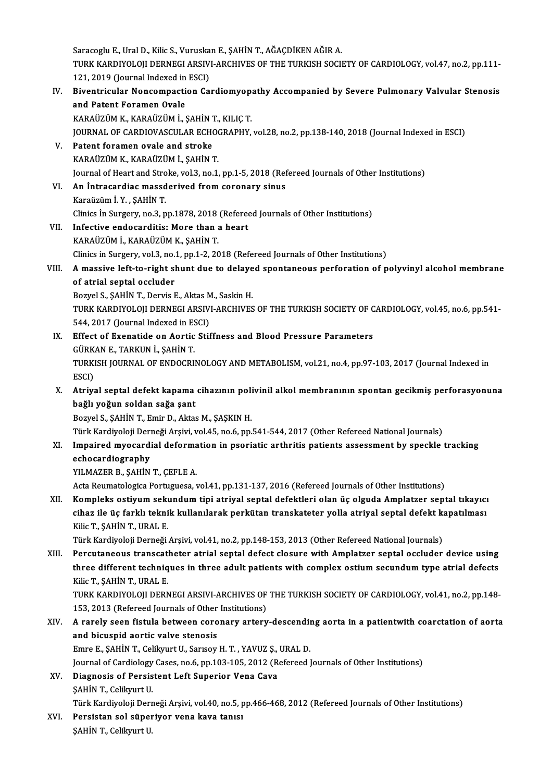Saracoglu E., Ural D., Kilic S., Vuruskan E., ŞAHİN T., AĞAÇDİKEN AĞIR A. Saracoglu E., Ural D., Kilic S., Vuruskan E., ŞAHİN T., AĞAÇDİKEN AĞIR A.<br>TURK KARDIYOLOJI DERNEGI ARSIVI-ARCHIVES OF THE TURKISH SOCIETY OF CARDIOLOGY, vol.47, no.2, pp.111-<br>121.2019 (Jaurnal Indoved in ESC) Saracoglu E., Ural D., Kilic S., Vuruska<br>TURK KARDIYOLOJI DERNEGI ARSIV<br>121, 2019 (Journal Indexed in ESCI)<br>Biventriauler Nensemnastion *Co* TURK KARDIYOLOJI DERNEGI ARSIVI-ARCHIVES OF THE TURKISH SOCIETY OF CARDIOLOGY, vol.47, no.2, pp.111-<br>121, 2019 (Journal Indexed in ESCI)<br>IV. Biventricular Noncompaction Cardiomyopathy Accompanied by Severe Pulmonary Valvul

121, 2019 (Journal Indexed in<br>Biventricular Noncompacti<br>and Patent Foramen Ovale<br>KARAÜZÜM K. KARAÜZÜM İ. and Patent Foramen Ovale<br>KARAÜZÜM K., KARAÜZÜM İ., ŞAHİN T., KILIÇ T. and Patent Foramen Ovale<br>KARAÜZÜM K., KARAÜZÜM İ., ŞAHİN T., KILIÇ T.<br>JOURNAL OF CARDIOVASCULAR ECHOGRAPHY, vol.28, no.2, pp.138-140, 2018 (Journal Indexed in ESCI)<br>Patent foramen evale and streke KARAÜZÜM K., KARAÜZÜM İ., ŞAHİN 1<br>JOURNAL OF CARDIOVASCULAR ECHO<br>V. Patent foramen ovale and stroke<br>KARAÜZÜM K. KARAÜZÜM İ. SAHİN 1 JOURNAL OF CARDIOVASCULAR ECHOON<br>Patent foramen ovale and stroke<br>KARAÜZÜM K., KARAÜZÜM İ., ŞAHİN T. Patent foramen ovale and stroke<br>KARAÜZÜM K., KARAÜZÜM İ., ŞAHİN T.<br>Journal of Heart and Stroke, vol.3, no.1, pp.1-5, 2018 (Refereed Journals of Other Institutions)<br>An Intrecendies messderived from serenary sinus KARAÜZÜM K., KARAÜZÜM İ., ŞAHİN T.<br>Journal of Heart and Stroke, vol.3, no.1, pp.1-5, 2018 (Ref<br>VI. An İntracardiac massderived from coronary sinus<br>Karaüzüm İ. Y. , SAHİN T. Journal of Heart and Stro<br><mark>An İntracardiac massd</mark><br>Karaüzüm İ. Y. , ŞAHİN T.<br>Clinice İn Surgeny, no 3, n An Intracardiac massderived from coronary sinus<br>Karaüzüm İ. Y. , ŞAHİN T.<br>Clinics İn Surgery, no.3, pp.1878, 2018 (Refereed Journals of Other Institutions)<br>Infective endecenditio: More than a beart VII. Infective endocarditis: More than a heart<br>KARAÜZÜM İ. KARAÜZÜM K. SAHİN T. Clinics İn Surgery, no.3, pp.1878, 2018<br>Infective endocarditis: More than<br>KARAÜZÜM İ., KARAÜZÜM K., ŞAHİN T. Clinics in Surgery, vol.3, no.1, pp.1-2, 2018 (Refereed Journals of Other Institutions) KARAÜZÜM İ., KARAÜZÜM K., ŞAHİN T.<br>Clinics in Surgery, vol.3, no.1, pp.1-2, 2018 (Refereed Journals of Other Institutions)<br>VIII. A massive left-to-right shunt due to delayed spontaneous perforation of polyvinyl alcohol Clinics in Surgery, vol.3, no.<br>A massive left-to-right sl<br>of atrial septal occluder<br>Bowel S. SAHIN T. Dowis I A massive left-to-right shunt due to delaye<br>of atrial septal occluder<br>Bozyel S., ŞAHİN T., Dervis E., Aktas M., Saskin H.<br>TURK KARDIYOLOU DERNECLARSIYLARGUIYES of atrial septal occluder<br>Bozyel S., ŞAHİN T., Dervis E., Aktas M., Saskin H.<br>TURK KARDIYOLOJI DERNEGI ARSIVI-ARCHIVES OF THE TURKISH SOCIETY OF CARDIOLOGY, vol.45, no.6, pp.541-<br>544, 2017 (Jaurnal Indoved in ESC) Bozyel S., ŞAHİN T., Dervis E., Aktas M<br>TURK KARDIYOLOJI DERNEGI ARSIV<br>544, 2017 (Journal Indexed in ESCI)<br>Effect of Exenatide en Aertic Stif TURK KARDIYOLOJI DERNEGI ARSIVI-ARCHIVES OF THE TURKISH SOCIETY OF C<br>544, 2017 (Journal Indexed in ESCI)<br>IX. Effect of Exenatide on Aortic Stiffness and Blood Pressure Parameters<br>CUPKANE TARKINJ 5 SAHINT 544, 2017 (Journal Indexed in ESCI)<br>IX. Effect of Exenatide on Aortic Stiffness and Blood Pressure Parameters<br>GÜRKAN E., TARKUN İ., ŞAHİN T. Effect of Exenatide on Aortic Stiffness and Blood Pressure Parameters<br>GÜRKAN E., TARKUN İ., ŞAHİN T.<br>TURKISH JOURNAL OF ENDOCRINOLOGY AND METABOLISM, vol.21, no.4, pp.97-103, 2017 (Journal Indexed in<br>ESCD GÜRK<br>TURKI<br>ESCI)<br>Atrive TURKISH JOURNAL OF ENDOCRINOLOGY AND METABOLISM, vol.21, no.4, pp.97-103, 2017 (Journal Indexed in<br>ESCI)<br>X. Atriyal septal defekt kapama cihazının polivinil alkol membranının spontan gecikmiş perforasyonuna<br>hağlı voğun ESCI)<br>X. Atriyal septal defekt kapama cihazının polivinil alkol membranının spontan gecikmiş perforasyonuna<br>bağlı yoğun soldan sağa şant Bozyel S., ŞAHİN T., Emir D., Aktas M., ŞAŞKIN H. bağlı yoğun soldan sağa şant<br>Bozyel S., ŞAHİN T., Emir D., Aktas M., ŞAŞKIN H.<br>Türk Kardiyoloji Derneği Arşivi, vol.45, no.6, pp.541-544, 2017 (Other Refereed National Journals)<br>Impained muogardial deformation in peoriatio XI. Impaired myocardial deformation in psoriatic arthritis patients assessment by speckle tracking echocardiography Türk Kardiyoloji Deri<br>I<mark>mpaired myocard</mark>i<br>echocardiography<br><sup>VII MAZER B. SAHİN</sup> YILMAZER B., ŞAHİN T., ÇEFLE A. Acta Reumatologica Portuguesa, vol.41, pp.131-137, 2016 (Refereed Journals of Other Institutions) XILMAZER B., ŞAHİN T., ÇEFLE A.<br>Acta Reumatologica Portuguesa, vol.41, pp.131-137, 2016 (Refereed Journals of Other Institutions)<br>XII. Kompleks ostiyum sekundum tipi atriyal septal defektleri olan üç olguda Amplatzer s Acta Reumatologica Portuguesa, vol.41, pp.131-137, 2016 (Refereed Journals of Other Institutions)<br>Kompleks ostiyum sekundum tipi atriyal septal defektleri olan üç olguda Amplatzer septal tıkayıcı<br>cihaz ile üç farklı teknik Kompleks ostiyum sek<mark>t</mark><br>cihaz ile üç farklı tekni<br>Kilic T., ŞAHİN T., URAL E.<br>Türk Kondiveleji Denneği cihaz ile üç farklı teknik kullanılarak perkütan transkateter yolla atriyal septal defekt kapatılması<br>Kilic T., ŞAHİN T., URAL E.<br>Türk Kardiyoloji Derneği Arşivi, vol.41, no.2, pp.148-153, 2013 (Other Refereed National Jou Kilic T., ŞAHİN T., URAL E.<br>Türk Kardiyoloji Derneği Arşivi, vol.41, no.2, pp.148-153, 2013 (Other Refereed National Journals)<br>XIII. Percutaneous transcatheter atrial septal defect closure with Amplatzer septal occlude Türk Kardiyoloji Derneği Arşivi, vol.41, no.2, pp.148-153, 2013 (Other Refereed National Journals)<br>Percutaneous transcatheter atrial septal defect closure with Amplatzer septal occluder device using<br>three different techniq **Percutaneous transcat<br>three different techniq<br>Kilic T., ŞAHİN T., URAL E.<br>TURK KARDIYOLOU DERN** three different techniques in three adult patients with complex ostium secundum type atrial defects<br>Kilic T., ŞAHİN T., URAL E.<br>TURK KARDIYOLOJI DERNEGI ARSIVI-ARCHIVES OF THE TURKISH SOCIETY OF CARDIOLOGY, vol.41, no.2, p Kilic T., ŞAHİN T., URAL E.<br>TURK KARDIYOLOJI DERNEGI ARSIVI-ARCHIVES OF<br>153, 2013 (Refereed Journals of Other Institutions)<br>A rarely seen fistule between serenery artery TURK KARDIYOLOJI DERNEGI ARSIVI-ARCHIVES OF THE TURKISH SOCIETY OF CARDIOLOGY, vol.41, no.2, pp.148-<br>153, 2013 (Refereed Journals of Other Institutions)<br>XIV. A rarely seen fistula between coronary artery-descending aor 153, 2013 (Refereed Journals of Other<br>A rarely seen fistula between coro<br>and bicuspid aortic valve stenosis<br>Emre E SAUINT Collmurt II Serreux A rarely seen fistula between coronary artery-descendin<br>and bicuspid aortic valve stenosis<br>Emre E., ŞAHİN T., Celikyurt U., Sarısoy H.T. , YAVUZ Ş., URAL D.<br>Journal of Cardialagu Caees, no 6, nn 193, 195, 2912 (Refereed l and bicuspid aortic valve stenosis<br>Emre E., ŞAHİN T., Celikyurt U., Sarısoy H. T. , YAVUZ Ş., URAL D.<br>Journal of Cardiology Cases, no.6, pp.103-105, 2012 (Refereed Journals of Other Institutions) XV. Diagnosis of Persistent Left Superior Vena Cava ŞAHİNT, Celikyurt U. Türk Kardiyoloji Derneği Arşivi, vol.40, no.5, pp.466-468, 2012 (Refereed Journals of Other Institutions) \$AHİN T., Celikyurt U.<br>Türk Kardiyoloji Derneği Arşivi, vol.40, no.5, p<br>XVI. Persistan sol süperiyor vena kava tanısı<br>SAHİN T. Celilenut H Türk Kardiyoloji Derı<br><mark>Persistan sol süpeı</mark><br>ŞAHİN T., Celikyurt U.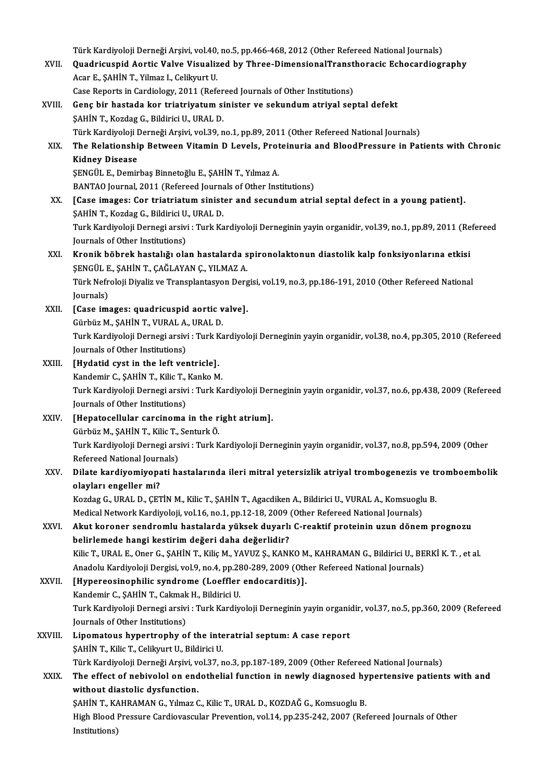Türk Kardiyoloji Derneği Arşivi, vol.40, no.5, pp.466-468, 2012 (Other Refereed National Journals)<br>Quadriavanid Aortia Valvo Viavalized by Three DimensionalTranstheresis Eshesardiası

- Türk Kardiyoloji Derneği Arşivi, vol.40, no.5, pp.466-468, 2012 (Other Refereed National Journals)<br>XVII. Quadricuspid Aortic Valve Visualized by Three-DimensionalTransthoracic Echocardiography Türk Kardiyoloji Derneği Arşivi, vol.40,<br>Quadricuspid Aortic Valve Visualiz<br>Acar E., ŞAHİN T., Yilmaz I., Celikyurt U.<br>Cese Benerta in Cerdialegy, 2011 (Bef Quadricuspid Aortic Valve Visualized by Three-DimensionalTransthoracic Echocardiography<br>Acar E., SAHİN T., Yilmaz I., Celikyurt U. Case Reports in Cardiology, 2011 (Refereed Journals of Other Institutions)
- XVIII. Genç bir hastada kor triatriyatum sinister ve sekundum atriyal septal defekt<br>ŞAHİN T., Kozdag G., Bildirici U., URAL D. Genç bir hastada kor triatriyatum sinister ve sekundum atriyal septal defekt<br>ŞAHİN T., Kozdag G., Bildirici U., URAL D.<br>Türk Kardiyoloji Derneği Arşivi, vol.39, no.1, pp.89, 2011 (Other Refereed National Journals)<br>The Bels XIX. The Relationship Between Vitamin D Levels, Proteinuria and BloodPressure in Patients with Chronic Türk Kardiyoloji I<br><mark>The Relationshi</mark><br>Kidney Disease<br>SENCÜL E Demir ŞENGÜL E., Demirbaş Binnetoğlu E., ŞAHİN T., Yılmaz A. BANTAO Journal, 2011 (Refereed Journals of Other Institutions) XX. [Case images: Cor triatriatum sinister and secundum atrial septal defect in a young patient]. ŞAHİNT.,KozdagG.,BildiriciU.,URALD. [Case images: Cor triatriatum sinister and secundum atrial septal defect in a young patient].<br>ŞAHİN T., Kozdag G., Bildirici U., URAL D.<br>Turk Kardiyoloji Dernegi arsivi : Turk Kardiyoloji Derneginin yayin organidir, vol.39 ŞAHİN T., Kozdag G., Bildirici U.<br>Turk Kardiyoloji Dernegi arsivi<br>Journals of Other Institutions)<br>Kronik böhnek basteliği ola Turk Kardiyoloji Dernegi arsivi : Turk Kardiyoloji Derneginin yayin organidir, vol.39, no.1, pp.89, 2011 (Re<br>Journals of Other Institutions)<br>XXI. Kronik böbrek hastalığı olan hastalarda spironolaktonun diastolik kalp f Journals of Other Institutions)<br>Kronik böbrek hastalığı olan hastalarda spironolaktonun diastolik kalp fonksiyonlarına etkisi Türk Nefroloji Diyaliz ve Transplantasyon Dergisi, vol.19, no.3, pp.186-191, 2010 (Other Refereed National Journals) ŞENGÜL E., ŞAHİN T., ÇAĞLAYAN Ç., YILMAZ A. Türk Nefroloji Diyaliz ve Transplantasyon Derg<br>Journals)<br>XXII. [Case images: quadricuspid aortic valve].<br>Cürküz M. SAHİN T. VURALA, URALD. Journals)<br>[Case images: quadricuspid aortic v<br>Gürbüz M., ŞAHİN T., VURAL A., URAL D.<br>Turk Kardiveleji Dernegi arşiyi : Turk Ke Turk Kardiyoloji Dernegi arsivi : Turk Kardiyoloji Derneginin yayin organidir, vol.38, no.4, pp.305, 2010 (Refereed<br>Journals of Other Institutions) Gürbüz M., ŞAHİN T., VURAL A., URAL D. Turk Kardiyoloji Dernegi arsivi : Turk K<br>Journals of Other Institutions)<br>XXIII. [Hydatid cyst in the left ventricle].<br>Exandemir C. SAHIN T. Kilis T. Kanko M Journals of Other Institutions)<br>[Hydatid cyst in the left ventricle].<br>Kandemir C., ŞAHİN T., Kilic T., Kanko M.<br>Turk Kandiveleji Dernegi arşiyi : Turk Ke Turk Kardiyoloji Dernegi arsivi : Turk Kardiyoloji Derneginin yayin organidir, vol.37, no.6, pp.438, 2009 (Refereed<br>Journals of Other Institutions) Kandemir C., SAHİN T., Kilic T., Kanko M. XXIV. [Hepatocellular carcinoma in the right atrium]. Journals of Other Institutions)<br>[Hepatocellular carcinoma in the r<br>Gürbüz M., ŞAHİN T., Kilic T., Senturk Ö.<br>Turk Kardivalaji Dernesi arsiyi : Turk K Turk Kardiyoloji Dernegi arsivi : Turk Kardiyoloji Derneginin yayin organidir, vol.37, no.8, pp.594, 2009 (Other<br>Refereed National Journals) Gürbüz M., ŞAHİN T., Kilic T.,<br>Turk Kardiyoloji Dernegi ars<br>Refereed National Journals)<br>Dilate kandiyomiyonati ha Turk Kardiyoloji Dernegi arsivi : Turk Kardiyoloji Derneginin yayin organidir, vol.37, no.8, pp.594, 2009 (Other<br>Refereed National Journals)<br>XXV. Dilate kardiyomiyopati hastalarında ileri mitral yetersizlik atriyal tro Refereed National Journ<br>Dilate kardiyomiyopa<br>olayları engeller mi?<br>Kordeg C. UPAL D. CET Dilate kardiyomiyopati hastalarında ileri mitral yetersizlik atriyal trombogenezis ve tı<br>olayları engeller mi?<br>Kozdag G., URAL D., ÇETİN M., Kilic T., ŞAHİN T., Agacdiken A., Bildirici U., VURAL A., Komsuoglu B.<br>Medisəl Ne olayları engeller mi?<br>Kozdag G., URAL D., ÇETİN M., Kilic T., ŞAHİN T., Agacdiken A., Bildirici U., VURAL A., Komsuoglu B. XXVI. Akut koroner sendromlu hastalarda yüksek duyarlı C-reaktif proteinin uzun dönem prognozu<br>belirlemede hangi kestirim değeri daha değerlidir? Medical Network Kardiyoloji, vol.16, no.1, pp.12-18, 2009 (Other Refereed National Journals) Akut koroner sendromlu hastalarda yüksek duyarlı C-reaktif proteinin uzun dönem prognozu<br>belirlemede hangi kestirim değeri daha değerlidir?<br>Kilic T., URAL E., Oner G., ŞAHİN T., Kiliç M., YAVUZ Ş., KANKO M., KAHRAMAN G., B belirlemede hangi kestirim değeri daha değerlidir?<br>Kilic T., URAL E., Oner G., ŞAHİN T., Kiliç M., YAVUZ Ş., KANKO M., KAHRAMAN G., Bildirici U., BE<br>Anadolu Kardiyoloji Dergisi, vol.9, no.4, pp.280-289, 2009 (Other Referee Kilic T., URAL E., Oner G., ŞAHİN T., Kiliç M., YAVUZ Ş., KANKO M<br>Anadolu Kardiyoloji Dergisi, vol.9, no.4, pp.280-289, 2009 (Oth<br>XXVII. [Hypereosinophilic syndrome (Loeffler endocarditis)].<br>Kandomir C. SAHİN T. Colmok Anadolu Kardiyoloji Dergisi, vol.9, no.4, pp.28<br>[Hypereosinophilic syndrome (Loeffler<br>Kandemir C., ŞAHİN T., Cakmak H., Bildirici U.<br>Turk Kardiyaloji Dernesi arsiyi : Turk Kardiy [Hypereosinophilic syndrome (Loeffler endocarditis)].<br>Kandemir C., ŞAHİN T., Cakmak H., Bildirici U.<br>Turk Kardiyoloji Dernegi arsivi : Turk Kardiyoloji Derneginin yayin organidir, vol.37, no.5, pp.360, 2009 (Refereed<br>Journ Kandemir C., ŞAHİN T., Cakmak<br>Turk Kardiyoloji Dernegi arsivi<br>Journals of Other Institutions)<br>Linemateus bunentronbu e Turk Kardiyoloji Dernegi arsivi : Turk Kardiyoloji Derneginin yayin organi<br>Journals of Other Institutions)<br>XXVIII. Lipomatous hypertrophy of the interatrial septum: A case report<br>SAHIN T. Kilia T. Colibrust U. Bildivici U. Journals of Other Institutions)<br>Lipomatous hypertrophy of the interatrial septum: A case report<br>SAHİN T., Kilic T., Celikyurt U., Bildirici U. Türk Kardiyoloji Derneği Arşivi, vol.37, no.3, pp.187-189, 2009 (Other Refereed National Journals) \$AHİN T., Kilic T., Celikyurt U., Bildirici U.<br>Türk Kardiyoloji Derneği Arşivi, vol.37, no.3, pp.187-189, 2009 (Other Refereed National Journals)<br>XXIX. The effect of nebivolol on endothelial function in newly diagnosed Türk Kardiyoloji Derneği Arşivi, v<br>The effect of nebivolol on end<br>without diastolic dysfunction.<br>SAHİN T. KAHRAMAN G. Vilmaz G The effect of nebivolol on endothelial function in newly diagnosed hy<br>without diastolic dysfunction.<br>ŞAHİN T., KAHRAMAN G., Yılmaz C., Kilic T., URAL D., KOZDAĞ G., Komsuoglu B.<br>High Blood Pressure Cardiayassular Preyentio without diastolic dysfunction.<br>ŞAHİN T., KAHRAMAN G., Yılmaz C., Kilic T., URAL D., KOZDAĞ G., Komsuoglu B.<br>High Blood Pressure Cardiovascular Prevention, vol.14, pp.235-242, 2007 (Refereed Journals of Other<br>Institutione) SAHİN T., KA<br>High Blood l<br>Institutions)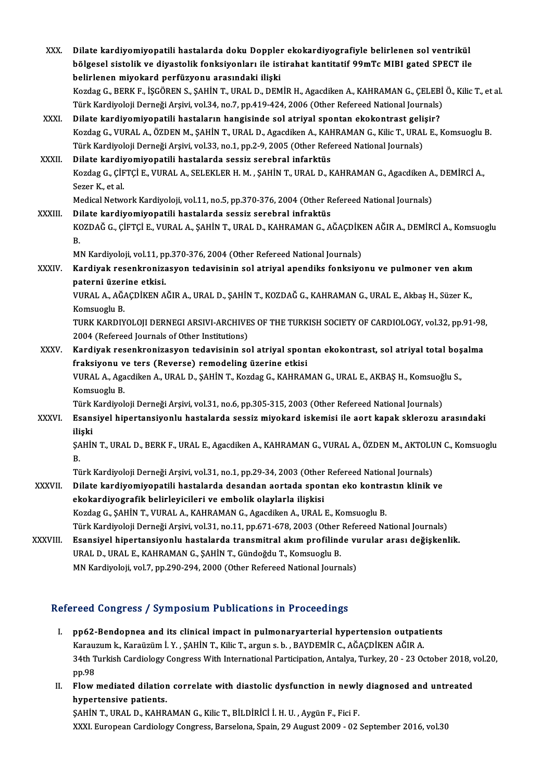| XXX.            | Dilate kardiyomiyopatili hastalarda doku Doppler ekokardiyografiyle belirlenen sol ventrikül                                                               |
|-----------------|------------------------------------------------------------------------------------------------------------------------------------------------------------|
|                 | bölgesel sistolik ve diyastolik fonksiyonları ile istirahat kantitatif 99mTc MIBI gated SPECT ile<br>belirlenen miyokard perfüzyonu arasındaki ilişki      |
|                 | Kozdag G., BERK F., İŞGÖREN S., ŞAHİN T., URAL D., DEMİR H., Agacdiken A., KAHRAMAN G., ÇELEBİ Ö., Kilic T., et al.                                        |
|                 | Türk Kardiyoloji Derneği Arşivi, vol.34, no.7, pp.419-424, 2006 (Other Refereed National Journals)                                                         |
| XXXI.           | Dilate kardiyomiyopatili hastaların hangisinde sol atriyal spontan ekokontrast gelişir?                                                                    |
|                 | Kozdag G., VURAL A., ÖZDEN M., ŞAHİN T., URAL D., Agacdiken A., KAHRAMAN G., Kilic T., URAL E., Komsuoglu B.                                               |
|                 | Türk Kardiyoloji Derneği Arşivi, vol.33, no.1, pp.2-9, 2005 (Other Refereed National Journals)                                                             |
| XXXII.          | Dilate kardiyomiyopatili hastalarda sessiz serebral infarktüs                                                                                              |
|                 | Kozdag G., ÇİFTÇİ E., VURAL A., SELEKLER H. M. , ŞAHİN T., URAL D., KAHRAMAN G., Agacdiken A., DEMİRCİ A.,<br>Sezer K., et al.                             |
|                 | Medical Network Kardiyoloji, vol.11, no.5, pp.370-376, 2004 (Other Refereed National Journals)                                                             |
| XXXIII.         | Dilate kardiyomiyopatili hastalarda sessiz serebral infraktüs                                                                                              |
|                 | KOZDAĞ G., ÇİFTÇİ E., VURAL A., ŞAHİN T., URAL D., KAHRAMAN G., AĞAÇDİKEN AĞIR A., DEMİRCİ A., Komsuoglu<br>В.                                             |
|                 | MN Kardiyoloji, vol.11, pp.370-376, 2004 (Other Refereed National Journals)                                                                                |
| XXXIV.<br>XXXV. | Kardiyak resenkronizasyon tedavisinin sol atriyal apendiks fonksiyonu ve pulmoner ven akım                                                                 |
|                 | paterni üzerine etkisi.                                                                                                                                    |
|                 | VURAL A., AĞAÇDİKEN AĞIR A., URAL D., ŞAHİN T., KOZDAĞ G., KAHRAMAN G., URAL E., Akbaş H., Süzer K.,                                                       |
|                 | Komsuoglu B.                                                                                                                                               |
|                 | TURK KARDIYOLOJI DERNEGI ARSIVI-ARCHIVES OF THE TURKISH SOCIETY OF CARDIOLOGY, vol.32, pp.91-98,                                                           |
|                 | 2004 (Refereed Journals of Other Institutions)                                                                                                             |
|                 | Kardiyak resenkronizasyon tedavisinin sol atriyal spontan ekokontrast, sol atriyal total boşalma<br>fraksiyonu ve ters (Reverse) remodeling üzerine etkisi |
|                 | VURAL A., Agacdiken A., URAL D., ŞAHİN T., Kozdag G., KAHRAMAN G., URAL E., AKBAŞ H., Komsuoğlu S.,                                                        |
|                 | Komsuoglu B.                                                                                                                                               |
|                 | Türk Kardiyoloji Derneği Arşivi, vol.31, no.6, pp.305-315, 2003 (Other Refereed National Journals)                                                         |
| <b>XXXVI</b>    | Esansiyel hipertansiyonlu hastalarda sessiz miyokard iskemisi ile aort kapak sklerozu arasındaki                                                           |
|                 | iliski                                                                                                                                                     |
|                 | ŞAHİN T., URAL D., BERK F., URAL E., Agacdiken A., KAHRAMAN G., VURAL A., ÖZDEN M., AKTOLUN C., Komsuoglu                                                  |
|                 | В.                                                                                                                                                         |
|                 | Türk Kardiyoloji Derneği Arşivi, vol.31, no.1, pp.29-34, 2003 (Other Refereed National Journals)                                                           |
| XXXVII.         | Dilate kardiyomiyopatili hastalarda desandan aortada spontan eko kontrastın klinik ve                                                                      |
|                 | ekokardiyografik belirleyicileri ve embolik olaylarla ilişkisi                                                                                             |
|                 | Kozdag G., ŞAHİN T., VURAL A., KAHRAMAN G., Agacdiken A., URAL E., Komsuoglu B.                                                                            |
|                 | Türk Kardiyoloji Derneği Arşivi, vol.31, no.11, pp.671-678, 2003 (Other Refereed National Journals)                                                        |
| XXXVIII.        | Esansiyel hipertansiyonlu hastalarda transmitral akım profilinde vurular arası değişkenlik.                                                                |
|                 | URAL D., URAL E., KAHRAMAN G., ŞAHİN T., Gündoğdu T., Komsuoglu B.                                                                                         |
|                 | MN Kardiyoloji, vol.7, pp.290-294, 2000 (Other Refereed National Journals)                                                                                 |

### Refereed Congress / Symposium Publications in Proceedings

- efereed Congress / Symposium Publications in Proceedings<br>I. pp62-Bendopnea and its clinical impact in pulmonaryarterial hypertension outpatients<br>Karayrum k Karajirum L.V. SAHIN T. Kija T. arguns b. BAYDEMIR G. AČACDIKEN AČ Karauzumk., Karaüzüm İ. Y. , ŞAHİNT., Kilic T., arguns.b. , BAYDEMİR C., AĞAÇDİKEN AĞIR A.<br>Karauzum k., Karaüzüm İ.Y. , ŞAHİNT., Kilic T., arguns.b. , BAYDEMİR C., AĞAÇDİKEN AĞIR A.<br>24th Turkish Cardialagu Congress With In pp62-Bendopnea and its clinical impact in pulmonaryarterial hypertension outpatients<br>Karauzum k., Karaüzüm İ. Y. , ŞAHİN T., Kilic T., argun s. b. , BAYDEMİR C., AĞAÇDİKEN AĞIR A.<br>34th Turkish Cardiology Congress With Inte Karau:<br>34th T<br>pp.98 34th Turkish Cardiology Congress With International Participation, Antalya, Turkey, 20 - 23 October 2018, v<br>pp.98<br>II. Flow mediated dilation correlate with diastolic dysfunction in newly diagnosed and untreated<br>hypertoneiv
- pp.98<br>Flow mediated dilatior<br>hypertensive patients.<br>SAHIN T. UPAL D. KAHR

hypertensive patients.<br>ŞAHİN T., URAL D., KAHRAMAN G., Kilic T., BİLDİRİCİ İ. H. U. , Aygün F., Fici F. XXXI.EuropeanCardiologyCongress,Barselona,Spain,29August2009 -02 September 2016,vol.30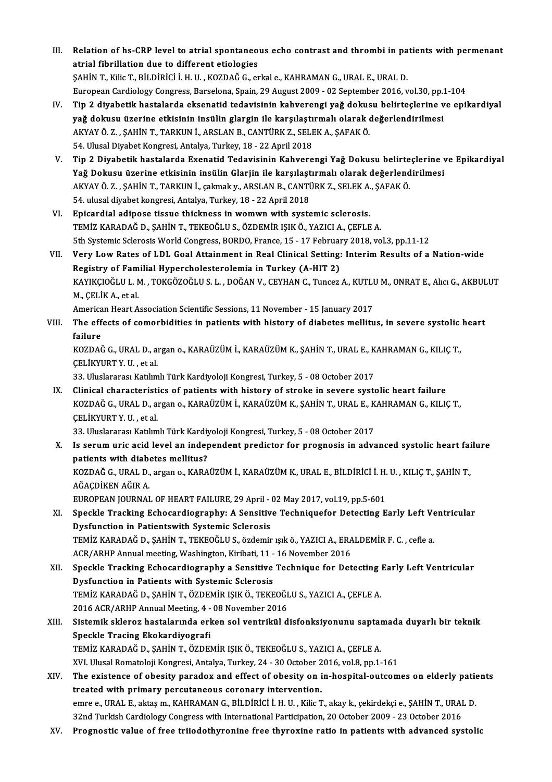- III. Relation of hs-CRP level to atrial spontaneous echo contrast and thrombi in patients with permenant<br>atrial fibrillation due to different etiologies Relation of hs-CRP level to atrial spontaneo<br>atrial fibrillation due to different etiologies<br>SAHIN T. Filia T. PH DIPICLL H. H. FOZDAČ C. ex Relation of hs-CRP level to atrial spontaneous echo contrast and thrombi in pa<br>atrial fibrillation due to different etiologies<br>ŞAHİN T., Kilic T., BİLDİRİCİ İ.H.U., KOZDAĞ G., erkal e., KAHRAMAN G., URAL E., URAL D.<br>Europe atrial fibrillation due to different etiologies<br>ȘAHİN T., Kilic T., BİLDİRİCİ İ. H. U. , KOZDAĞ G., erkal e., KAHRAMAN G., URAL E., URAL D.<br>European Cardiology Congress, Barselona, Spain, 29 August 2009 - 02 September 2016 SAHİN T., Kilic T., BİLDİRİCİ İ. H. U. , KOZDAĞ G., erkal e., KAHRAMAN G., URAL E., URAL D.<br>European Cardiology Congress, Barselona, Spain, 29 August 2009 - 02 September 2016, vol.30, pp.1-104<br>IV. Tip 2 diyabetik hasta
- European Cardiology Congress, Barselona, Spain, 29 August 2009 02 September 2016, vol.30, pp.:<br>Tip 2 diyabetik hastalarda eksenatid tedavisinin kahverengi yağ dokusu belirteçlerine v<br>yağ dokusu üzerine etkisinin insülin Tip 2 diyabetik hastalarda eksenatid tedavisinin kahverengi yağ dokus<br>yağ dokusu üzerine etkisinin insülin glargin ile karşılaştırmalı olarak (<br>AKYAY Ö. Z. , ŞAHİN T., TARKUN İ., ARSLAN B., CANTÜRK Z., SELEK A., ŞAFAK Ö.<br>5 yağ dokusu üzerine etkisinin insülin glargin ile karşılaştı<br>AKYAY Ö. Z. , ŞAHİN T., TARKUN İ., ARSLAN B., CANTÜRK Z., SELI<br>54. Ulusal Diyabet Kongresi, Antalya, Turkey, 18 - 22 April 2018<br>Tin 2. Diyabetik bastalarda Exenat 54. Ulusal Diyabet Kongresi, Antalya, Turkey, 18 - 22 April 2018<br>V. Tip 2 Diyabetik hastalarda Exenatid Tedavisinin Kahverengi Yağ Dokusu belirteclerine ve Epikardiyal
- 54. Ulusal Diyabet Kongresi, Antalya, Turkey, 18 22 April 2018<br>Tip 2 Diyabetik hastalarda Exenatid Tedavisinin Kahverengi Yağ Dokusu belirteçlerine v<br>Yağ Dokusu üzerine etkisinin insülin Glarjin ile karşılaştırmalı olara Tip 2 Diyabetik hastalarda Exenatid Tedavisinin Kahverengi Yağ Dokusu belirte<br>Yağ Dokusu üzerine etkisinin insülin Glarjin ile karşılaştırmalı olarak değerlend<br>AKYAY Ö. Z. , ŞAHİN T., TARKUN İ., çakmak y., ARSLAN B., CANTÜ Yağ Dokusu üzerine etkisinin insülin Glarjin ile karşılaşt<br>AKYAY Ö. Z. , ŞAHİN T., TARKUN İ., çakmak y., ARSLAN B., CANTİ<br>54. ulusal diyabet kongresi, Antalya, Turkey, 18 - 22 April 2018<br>Enisandial adinasa tissus thisknass AKYAY Ö. Z. , ŞAHİN T., TARKUN İ., çakmak y., ARSLAN B., CANTÜRK Z., SELEK A., ŞAFAK Ö.<br>54. ulusal diyabet kongresi, Antalya, Turkey, 18 - 22 April 2018<br>VI. Epicardial adipose tissue thickness in womwn with systemic sc
- TEMİZ KARADAĞ D., ŞAHİN T., TEKEOĞLU S., ÖZDEMİR IŞIK Ö., YAZICI A., ÇEFLE A. Epicardial adipose tissue thickness in womwn with systemic sclerosis.<br>TEMİZ KARADAĞ D., ŞAHİN T., TEKEOĞLU S., ÖZDEMİR IŞIK Ö., YAZICI A., ÇEFLE A.<br>5th Systemic Sclerosis World Congress, BORDO, France, 15 - 17 February 201
- VII. Very Low Rates of LDL Goal Attainment in Real Clinical Setting: Interim Results of a Nation-wide 5th Systemic Sclerosis World Congress, BORDO, France, 15 - 17 February<br>Very Low Rates of LDL Goal Attainment in Real Clinical Setting:<br>Registry of Familial Hypercholesterolemia in Turkey (A-HIT 2)<br>KANIKCIOČUJ J. M. TOKCÖZO Very Low Rates of LDL Goal Attainment in Real Clinical Setting: Interim Results of a Nation-wide<br>Registry of Familial Hypercholesterolemia in Turkey (A-HIT 2)<br>KAYIKÇIOĞLU L. M. , TOKGÖZOĞLU S. L. , DOĞAN V., CEYHAN C., Tun Registry of Familial Hypercholesterolemia in Turkey (A-HIT 2)<br>KAYIKÇIOĞLU L. M., TOKGÖZOĞLU S. L., DOĞAN V., CEYHAN C., Tuncez<br>M., ÇELİK A., et al. KAYIKÇIOĞLU L. M. , TOKGÖZOĞLU S. L. , DOĞAN V., CEYHAN C., Tuncez A., KUTLI<br>M., ÇELİK A., et al.<br>American Heart Association Scientific Sessions, 11 November - 15 January 2017<br>The effects of somonbidities in patients with

American Heart Association Scientific Sessions, 11 November - 15 January 2017

VIII. The effects of comorbidities in patients with history of diabetes mellitus, in severe systolic heart failure The effects of comorbidities in patients with history of diabetes mellitus, in severe systolic<br>failure<br>KOZDAĞ G., URAL D., argan o., KARAÜZÜM İ., KARAÜZÜM K., ŞAHİN T., URAL E., KAHRAMAN G., KILIÇ T.,<br>CELİKVURT V. H. ot ol

f<mark>ailure</mark><br>KOZDAĞ G., URAL D., aː<br>ÇELİKYURT Y. U. , et al.<br><sup>22. Uluclararası Katılım</sub></sup> KOZDAĞ G., URAL D., argan o., KARAÜZÜM İ., KARAÜZÜM K., ŞAHİN T., URAL E., K<br>ÇELİKYURT Y. U. , et al.<br>33. Uluslararası Katılımlı Türk Kardiyoloji Kongresi, Turkey, 5 - 08 October 2017<br>Clinisal sharastaristiss of nationts w

CELIKYURT Y. U. , et al.<br>33. Uluslararası Katılımlı Türk Kardiyoloji Kongresi, Turkey, 5 - 08 October 2017<br>IX. Clinical characteristics of patients with history of stroke in severe systolic heart failure<br>FOZDAČ G. URAL D. 33. Uluslararası Katılımlı Türk Kardiyoloji Kongresi, Turkey, 5 - 08 October 2017<br>Clinical characteristics of patients with history of stroke in severe systolic heart failure<br>KOZDAĞ G., URAL D., argan o., KARAÜZÜM İ., KARA Clinical characteristi<br>KOZDAĞ G., URAL D., a:<br>ÇELİKYURT Y. U. , et al.<br><sup>22. Uluclaranası Katlım</sup> KOZDAĞ G., URAL D., argan o., KARAÜZÜM İ., KARAÜZÜM K., ŞAHİN T., URAL E., K<br>ÇELİKYURT Y. U. , et al.<br>33. Uluslararası Katılımlı Türk Kardiyoloji Kongresi, Turkey, 5 - 08 October 2017<br>Is serum uris asid lavel an independen

X. Is serum uric acid level an independent predictor for prognosis in advanced systolic heart failure patients with diabetes mellitus? 33. Uluslararası Katılımlı Türk Kardiy<br>Is serum uric acid level an indep<br>patients with diabetes mellitus?<br>KOZDAČ C. URAL D. argan e. KARA Is serum uric acid level an independent predictor for prognosis in advanced systolic heart fai<br>patients with diabetes mellitus?<br>KOZDAĞ G., URAL D., argan o., KARAÜZÜM İ., KARAÜZÜM K., URAL E., BİLDİRİCİ İ. H. U. , KILIÇ T.

patients with diab<br>KOZDAĞ G., URAL D.,<br>AĞAÇDİKEN AĞIR A.<br>EUROPEAN JOUPNAL KOZDAĞ G., URAL D., argan o., KARAÜZÜM İ., KARAÜZÜM K., URAL E., BİLDİRİCİ İ. H.<br>AĞAÇDİKEN AĞIR A.<br>EUROPEAN JOURNAL OF HEART FAILURE, 29 April - 02 May 2017, vol.19, pp.5-601<br>Speckle Tracking Esbegardiosraphy: A Sensitive

AĞAÇDİKEN AĞIR A.<br>EUROPEAN JOURNAL OF HEART FAILURE, 29 April - 02 May 2017, vol.19, pp.5-601<br>XI. Speckle Tracking Echocardiography: A Sensitive Techniquefor Detecting Early Left Ventricular<br>Dugfungtion in Petientewith Sys EUROPEAN JOURNAL OF HEART FAILURE, 29 April -<br>Speckle Tracking Echocardiography: A Sensitiv<br>Dysfunction in Patientswith Systemic Sclerosis<br>TEMIZ KARADAČ D. SAHIN T. TEKEOČLUS, ësdemir Speckle Tracking Echocardiography: A Sensitive Techniquefor Detecting Early Left Ve<br>Dysfunction in Patientswith Systemic Sclerosis<br>TEMİZ KARADAĞ D., ŞAHİN T., TEKEOĞLU S., özdemir ışık ö., YAZICI A., ERALDEMİR F. C. , cefl Dysfunction in Patientswith Systemic Sclerosis<br>TEMİZ KARADAĞ D., ŞAHİN T., TEKEOĞLU S., özdemir ışık ö., YAZICI A., ERALDEMİR F. C. , cefle a.<br>ACR/ARHP Annual meeting, Washington, Kiribati, 11 - 16 November 2016 TEMİZ KARADAĞ D., ŞAHİN T., TEKEOĞLU S., özdemir ışık ö., YAZICI A., ERALDEMİR F. C. , cefle a.<br>ACR/ARHP Annual meeting, Washington, Kiribati, 11 - 16 November 2016<br>XII. Speckle Tracking Echocardiography a Sensitive Techni

ACR/ARHP Annual meeting, Washington, Kiribati, 11 -<br>Speckle Tracking Echocardiography a Sensitive<br>Dysfunction in Patients with Systemic Sclerosis<br>TEMIZ KARADAČ D. SAHIN T. ÖZDEMIR KIK Ö. TEKE Speckle Tracking Echocardiography a Sensitive Technique for Detecting<br>Dysfunction in Patients with Systemic Sclerosis<br>TEMİZ KARADAĞ D., ŞAHİN T., ÖZDEMİR IŞIK Ö., TEKEOĞLU S., YAZICI A., ÇEFLE A.<br>2016 ACR (ABHR Annual Most Dysfunction in Patients with Systemic Sclerosis<br>TEMİZ KARADAĞ D., ŞAHİN T., ÖZDEMİR IŞIK Ö., TEKEOĞLU S., YAZICI A., ÇEFLE A. TEMİZ KARADAĞ D., ŞAHİN T., ÖZDEMİR IŞIK Ö., TEKEOĞLU S., YAZICI A., ÇEFLE A.<br>2016 ACR/ARHP Annual Meeting, 4 - 08 November 2016<br>XIII. Sistemik skleroz hastalarında erken sol ventrikül disfonksiyonunu saptamada duyarlı

- 2016 ACR/ARHP Annual Meeting, 4 08 November 2016<br>Sistemik skleroz hastalarında erken sol ventrikül disfonksiyonunu saptaı<br>Speckle Tracing Ekokardiyografi<br>TEMİZ KARADAĞ D., ŞAHİN T., ÖZDEMİR IŞIK Ö., TEKEOĞLU S., YAZICI A Sistemik skleroz hastalarında erken sol ventrikül disfonksiyonunu saptaı<br>Speckle Tracing Ekokardiyografi<br>TEMİZ KARADAĞ D., ŞAHİN T., ÖZDEMİR IŞIK Ö., TEKEOĞLU S., YAZICI A., ÇEFLE A.<br>YIL Ulusal Pemataleji Kangrasi, Antalya XVI.UlusalRomatolojiKongresi,Antalya,Turkey,24 -30October 2016,vol.8,pp.1-161 TEMİZ KARADAĞ D., ŞAHİN T., ÖZDEMİR IŞIK Ö., TEKEOĞLU S., YAZICI A., ÇEFLE A.<br>XVI. Ulusal Romatoloji Kongresi, Antalya, Turkey, 24 - 30 October 2016, vol.8, pp.1-161<br>XIV. The existence of obesity paradox and effect of
- treated with primary percutaneous coronary intervention. The existence of obesity paradox and effect of obesity on in-hospital-outcomes on elderly pation<br>treated with primary percutaneous coronary intervention.<br>emre e., URAL E., aktaşm., KAHRAMAN G., BİLDİRİCİ İ. H. U. , Kilic T emre e., URAL E., aktaş m., KAHRAMAN G., BİLDİRİCİ İ. H. U. , Kilic T., akay k., çekirdekçi e., ŞAHİN T., URAL D.<br>32nd Turkish Cardiology Congress with International Participation, 20 October 2009 - 23 October 2016
- XV. Prognostic value of free triiodothyronine free thyroxine ratio in patients with advanced systolic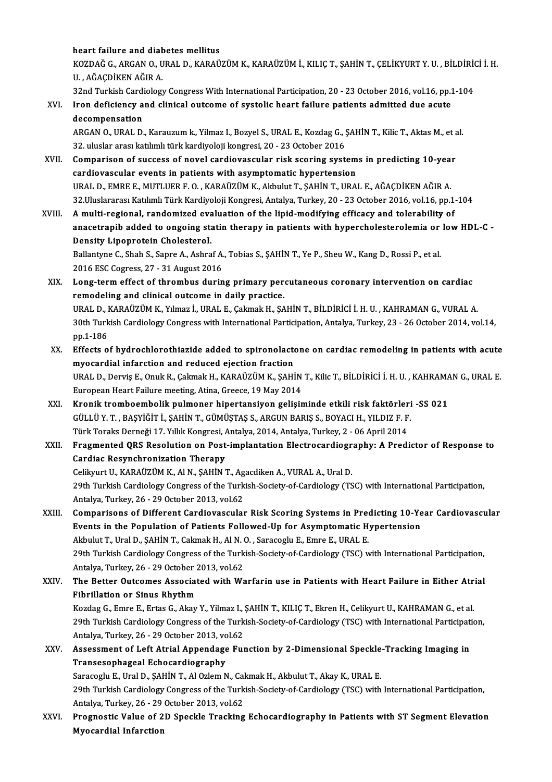### heart failure and diabetes mellitus

heart failure and diabetes mellitus<br>KOZDAĞ G., ARGAN O., URAL D., KARAÜZÜM K., KARAÜZÜM İ., KILIÇ T., ŞAHİN T., ÇELİKYURT Y. U. , BİLDİRİCİ İ. H.<br>H. AĞACDİKEN AĞIR A heart failure and dia<mark>l</mark><br>KOZDAĞ G., ARGAN O., U<br>U. , AĞAÇDİKEN AĞIR A.<br><sup>22nd Turkish Cardislam</sup> KOZDAĞ G., ARGAN O., URAL D., KARAÜZÜM K., KARAÜZÜM İ., KILIÇ T., ŞAHİN T., ÇELİKYURT Y. U. , BİLDİRİ(<br>U. , AĞAÇDİKEN AĞIR A.<br>32nd Turkish Cardiology Congress With International Participation, 20 - 23 October 2016, vol.16,

32nd Turkish Cardiology Congress With International Participation, 20 - 23 October 2016, vol.16, pp.1-104

U. , AĞAÇDİKEN AĞIR A.<br>32nd Turkish Cardiology Congress With International Participation, 20 - 23 October 2016, vol.16, pp.<br>XVI. Iron deficiency and clinical outcome of systolic heart failure patients admitted due acute<br>de Iron deficiency and clinical outcome of systolic heart failure patients admitted due acute<br>decompensation<br>ARGAN 0., URAL D., Karauzum k., Yilmaz I., Bozyel S., URAL E., Kozdag G., ŞAHİN T., Kilic T., Aktas M., et al.<br>22. u

decompensation<br>ARGAN 0., URAL D., Karauzum k., Yilmaz I., Bozyel S., URAL E., Kozdag G., Ş<br>32. uluslar arası katılımlı türk kardiyoloji kongresi, 20 - 23 October 2016<br>Comparison of sussess of novel sardiovassular risk ssor ARGAN O., URAL D., Karauzum k., Yilmaz I., Bozyel S., URAL E., Kozdag G., ŞAHİN T., Kilic T., Aktas M., et a<br>32. uluslar arası katılımlı türk kardiyoloji kongresi, 20 - 23 October 2016<br>XVII. Comparison of success of novel

- 32. uluslar arası katılımlı türk kardiyoloji kongresi, 20 23 October 2016<br>Comparison of success of novel cardiovascular risk scoring systems in predicting 10-year<br>cardiovascular events in patients with asymptomatic hyper URALD.,EMREE.,MUTLUERF.O. ,KARAÜZÜMK.,AkbulutT.,ŞAHİNT.,URAL E.,AĞAÇDİKENAĞIRA. 32.UluslararasıKatılımlıTürkKardiyolojiKongresi,Antalya,Turkey,20 -23October 2016,vol.16,pp.1-104
- XVIII. A multi-regional, randomized evaluation of the lipid-modifying efficacy and tolerability of 32.Uluslararası Katılımlı Türk Kardiyoloji Kongresi, Antalya, Turkey, 20 - 23 October 2016, vol.16, pp.1-104<br>A multi-regional, randomized evaluation of the lipid-modifying efficacy and tolerability of<br>anacetrapib added to A multi-regional, randomized eva<br>anacetrapib added to ongoing sta<br>Density Lipoprotein Cholesterol.<br>Pallanture C. Shah S. Sanre A. Ashra anacetrapib added to ongoing statin therapy in patients with hypercholesterolemia or<br>Density Lipoprotein Cholesterol.<br>Ballantyne C., Shah S., Sapre A., Ashraf A., Tobias S., ŞAHİN T., Ye P., Sheu W., Kang D., Rossi P., et

Density Lipoprotein Cholesterol.<br>Ballantyne C., Shah S., Sapre A., Ashraf A., Tobias S., ŞAHİN T., Ye P., Sheu W., Kang D., Rossi P., et al.<br>2016 ESC Cogress, 27 - 31 August 2016 Ballantyne C., Shah S., Sapre A., Ashraf A., Tobias S., ŞAHİN T., Ye P., Sheu W., Kang D., Rossi P., et al.<br>2016 ESC Cogress, 27 - 31 August 2016<br>XIX. Long-term effect of thrombus during primary percutaneous coronary inter

- 2016 ESC Cogress, 27 31 August 2016<br>Long-term effect of thrombus during primary per<br>remodeling and clinical outcome in daily practice.<br>UPALD, KARAÜZÜM K. Xumar LUPALE Colmak H. SA Long-term effect of thrombus during primary percutaneous coronary intervention on cardiac<br>remodeling and clinical outcome in daily practice.<br>URAL D., KARAÜZÜM K., Yılmaz İ., URAL E., Çakmak H., ŞAHİN T., BİLDİRİCİ İ. H. U. remodeling and clinical outcome in daily practice.<br>URAL D., KARAÜZÜM K., Yılmaz İ., URAL E., Çakmak H., ŞAHİN T., BİLDİRİCİ İ. H. U. , KAHRAMAN G., VURAL A.<br>30th Turkish Cardiology Congress with International Participation URAL D., I<br>30th Turk<br>pp.1-186<br>Effects o 30th Turkish Cardiology Congress with International Participation, Antalya, Turkey, 23 - 26 October 2014, vol.14, pp.1-186<br>XX. Effects of hydrochlorothiazide added to spironolactone on cardiac remodeling in patients with a
- pp.1-186<br>Effects of hydrochlorothiazide added to spironolact<br>myocardial infarction and reduced ejection fraction<br>UPALD, Dervis E. Opuk B. Calmak H. KARAÜZÜM K. SAHI Effects of hydrochlorothiazide added to spironolactone on cardiac remodeling in patients with acute<br>myocardial infarction and reduced ejection fraction<br>URAL D., Derviş E., Onuk R., Çakmak H., KARAÜZÜM K., ŞAHİN T., Kilic T myocardial infarction and reduced ejection fraction<br>URAL D., Derviş E., Onuk R., Çakmak H., KARAÜZÜM K., ŞAHİN<br>European Heart Failure meeting, Atina, Greece, 19 May 2014<br>Kranik trambasınbalik pulmanar binartansıyan galisin URAL D., Derviş E., Onuk R., Çakmak H., KARAÜZÜM K., ŞAHİN T., Kilic T., BİLDİRİCİ İ. H. U. , KAHRAMA<br>European Heart Failure meeting, Atina, Greece, 19 May 2014<br>XXI. Kronik tromboembolik pulmoner hipertansiyon gelişiminde
- European Heart Failure meeting, Atina, Greece, 19 May 2014<br><mark>Kronik tromboembolik pulmoner hipertansiyon gelişiminde etkili risk faktörleri</mark><br>GÜLLÜ Y. T. , BAŞYİĞİT İ., ŞAHİN T., GÜMÜŞTAŞ S., ARGUN BARIŞ S., BOYACI H., YILDI Kronik tromboembolik pulmoner hipertansiyon gelişiminde etkili risk faktörler<br>GÜLLÜ Y. T. , BAŞYİĞİT İ., ŞAHİN T., GÜMÜŞTAŞ S., ARGUN BARIŞ S., BOYACI H., YILDIZ F. F<br>Türk Toraks Derneği 17. Yıllık Kongresi, Antalya, 2014, Türk Toraks Derneği 17. Yıllık Kongresi, Antalya, 2014, Antalya, Turkey, 2 - 06 April 2014
- XXII. Fragmented QRS Resolution on Post-implantation Electrocardiography: A Predictor of Response to<br>Cardiac Resynchronization Therapy Fragmented QRS Resolution on Post-implantation Electrocardiogr<br>Cardiac Resynchronization Therapy<br>Celikyurt U., KARAÜZÜM K., Al N., ŞAHİN T., Agacdiken A., VURAL A., Ural D.<br>20th Turkish Cardialogy Congress of the Turkish S

29th Turkish Cardiology Congress of the Turkish-Society-of-Cardiology (TSC) with International Participation,<br>Antalya, Turkey, 26 - 29 October 2013, vol.62 Celikyurt U., KARAÜZÜM K., Al N., ŞAHİN T., Ag<br>29th Turkish Cardiology Congress of the Turk<br>Antalya, Turkey, 26 - 29 October 2013, vol.62<br>Comparisons of Different Cardiouaseular 29th Turkish Cardiology Congress of the Turkish-Society-of-Cardiology (TSC) with International Participation,<br>Antalya, Turkey, 26 - 29 October 2013, vol.62<br>XXIII. Comparisons of Different Cardiovascular Risk Scoring System

- Antalya, Turkey, 26 29 October 2013, vol.62<br>Comparisons of Different Cardiovascular Risk Scoring Systems in Predicting 10-Ye<br>Events in the Population of Patients Followed-Up for Asymptomatic Hypertension Comparisons of Different Cardiovascular Risk Scoring Systems in Prequents in the Population of Patients Followed-Up for Asymptomatic H.<br>Akbulut T., Ural D., ŞAHİN T., Cakmak H., Al N. O. , Saracoglu E., Emre E., URAL E.<br>20 Events in the Population of Patients Followed-Up for Asymptomatic Hypertension<br>Akbulut T., Ural D., ȘAHİN T., Cakmak H., Al N. O. , Saracoglu E., Emre E., URAL E.<br>29th Turkish Cardiology Congress of the Turkish-Society-of-Akbulut T., Ural D., ŞAHİN T., Cakmak H., Al N.<br>29th Turkish Cardiology Congress of the Turk<br>Antalya, Turkey, 26 - 29 October 2013, vol.62<br>The Better Quteemes, Associated with We 29th Turkish Cardiology Congress of the Turkish-Society-of-Cardiology (TSC) with International Participation,<br>Antalya, Turkey, 26 - 29 October 2013, vol.62<br>XXIV. The Better Outcomes Associated with Warfarin use in Patients
- Antalya, Turkey, 26 29 October 2013, vol.62<br>The Better Outcomes Associated with Warfarin use in Patients with Heart Failure in Either Atrial<br>Fibrillation or Sinus Rhythm The Better Outcomes Associated with Warfarin use in Patients with Heart Failure in Either Atr<br>Fibrillation or Sinus Rhythm<br>Kozdag G., Emre E., Ertas G., Akay Y., Yilmaz I., ŞAHİN T., KILIÇ T., Ekren H., Celikyurt U., KAHRA

Fibrillation or Sinus Rhythm<br>Kozdag G., Emre E., Ertas G., Akay Y., Yilmaz I., ŞAHİN T., KILIÇ T., Ekren H., Celikyurt U., KAHRAMAN G., et al.<br>29th Turkish Cardiology Congress of the Turkish-Society-of-Cardiology (TSC) wit Kozdag G., Emre E., Ertas G., Akay Y., Yilmaz I., 3<br>29th Turkish Cardiology Congress of the Turk<br>Antalya, Turkey, 26 - 29 October 2013, vol.62<br>Assessment of Left Atrial Annendage Fur 29th Turkish Cardiology Congress of the Turkish-Society-of-Cardiology (TSC) with International Participati<br>Antalya, Turkey, 26 - 29 October 2013, vol.62<br>XXV. Assessment of Left Atrial Appendage Function by 2-Dimensional Sp

Antalya, Turkey, 26 - 29 October 2013, vol.62<br>Assessment of Left Atrial Appendage Function by 2-Dimensional Speckle-Tracking Imaging in<br>Transesophageal Echocardiography Assessment of Left Atrial Appendage Function by 2-Dimensional Speckle<br>Transesophageal Echocardiography<br>Saracoglu E., Ural D., ŞAHİN T., Al Ozlem N., Cakmak H., Akbulut T., Akay K., URAL E.<br>20th Turkish Cardialogy Congress

29th Turkish Cardiology Congress of the Turkish-Society-of-Cardiology (TSC) with International Participation,<br>Antalya, Turkey, 26 - 29 October 2013, vol.62 Saracoglu E., Ural D., ŞAHİN T., Al Ozlem N., Cal<br>29th Turkish Cardiology Congress of the Turk<br>Antalya, Turkey, 26 - 29 October 2013, vol.62<br>Prespectis Volue of 2D Speckle Tracking 29th Turkish Cardiology Congress of the Turkish-Society-of-Cardiology (TSC) with International Participation,<br>Antalya, Turkey, 26 - 29 October 2013, vol.62<br>XXVI. Prognostic Value of 2D Speckle Tracking Echocardiography in

Antalya, Turkey, 26 - 29<br>Prognostic Value of 2<br>Myocardial Infarction